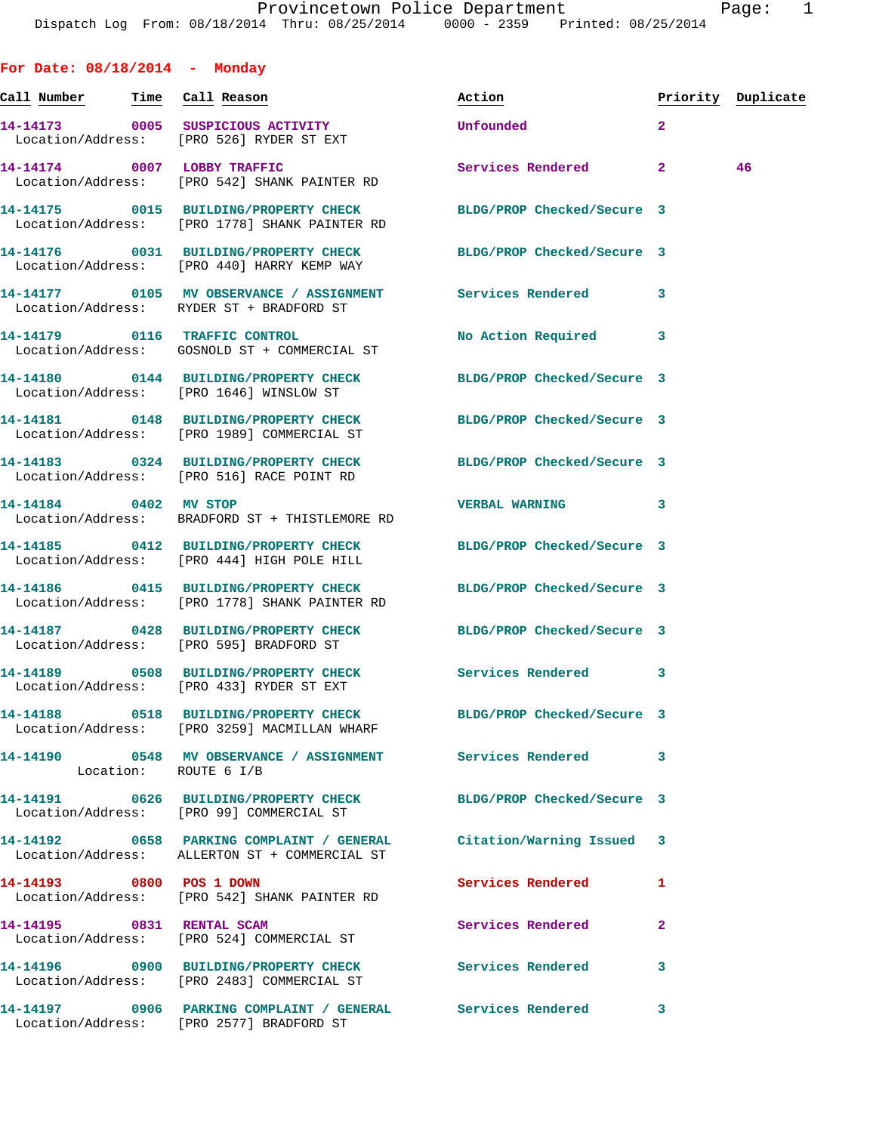| For Date: $08/18/2014$ - Monday |                                                                                                                    |                      |                |                    |
|---------------------------------|--------------------------------------------------------------------------------------------------------------------|----------------------|----------------|--------------------|
|                                 | <u>Call Number — Time Call Reason</u>                                                                              | Action               |                | Priority Duplicate |
|                                 | 14-14173 0005 SUSPICIOUS ACTIVITY<br>Location/Address: [PRO 526] RYDER ST EXT                                      | Unfounded            | $\overline{2}$ |                    |
|                                 | 14-14174 0007 LOBBY TRAFFIC<br>Location/Address: [PRO 542] SHANK PAINTER RD                                        | Services Rendered 2  |                | 46                 |
|                                 | 14-14175 0015 BUILDING/PROPERTY CHECK BLDG/PROP Checked/Secure 3<br>Location/Address: [PRO 1778] SHANK PAINTER RD  |                      |                |                    |
|                                 | 14-14176 0031 BUILDING/PROPERTY CHECK BLDG/PROP Checked/Secure 3<br>Location/Address: [PRO 440] HARRY KEMP WAY     |                      |                |                    |
|                                 | 14-14177 0105 MV OBSERVANCE / ASSIGNMENT Services Rendered 3<br>Location/Address: RYDER ST + BRADFORD ST           |                      |                |                    |
|                                 | 14-14179 0116 TRAFFIC CONTROL<br>Location/Address: GOSNOLD ST + COMMERCIAL ST                                      | No Action Required 3 |                |                    |
|                                 | 14-14180 0144 BUILDING/PROPERTY CHECK BLDG/PROP Checked/Secure 3<br>Location/Address: [PRO 1646] WINSLOW ST        |                      |                |                    |
|                                 | 14-14181 0148 BUILDING/PROPERTY CHECK BLDG/PROP Checked/Secure 3<br>Location/Address: [PRO 1989] COMMERCIAL ST     |                      |                |                    |
|                                 | 14-14183 0324 BUILDING/PROPERTY CHECK BLDG/PROP Checked/Secure 3<br>Location/Address: [PRO 516] RACE POINT RD      |                      |                |                    |
|                                 | 14-14184 0402 MV STOP<br>Location/Address: BRADFORD ST + THISTLEMORE RD                                            | VERBAL WARNING 3     |                |                    |
|                                 | 14-14185 0412 BUILDING/PROPERTY CHECK BLDG/PROP Checked/Secure 3<br>Location/Address: [PRO 444] HIGH POLE HILL     |                      |                |                    |
|                                 | 14-14186 0415 BUILDING/PROPERTY CHECK BLDG/PROP Checked/Secure 3<br>Location/Address: [PRO 1778] SHANK PAINTER RD  |                      |                |                    |
|                                 | 14-14187 0428 BUILDING/PROPERTY CHECK BLDG/PROP Checked/Secure 3<br>Location/Address: [PRO 595] BRADFORD ST        |                      |                |                    |
|                                 | 14-14189 0508 BUILDING/PROPERTY CHECK<br>Location/Address: [PRO 433] RYDER ST EXT                                  | Services Rendered 3  |                |                    |
|                                 | 14-14188 0518 BUILDING/PROPERTY CHECK BLDG/PROP Checked/Secure 3<br>Location/Address: [PRO 3259] MACMILLAN WHARF   |                      |                |                    |
| Location: ROUTE 6 I/B           | 14-14190 0548 MV OBSERVANCE / ASSIGNMENT Services Rendered                                                         |                      | 3              |                    |
|                                 | 14-14191 0626 BUILDING/PROPERTY CHECK BLDG/PROP Checked/Secure 3<br>Location/Address: [PRO 99] COMMERCIAL ST       |                      |                |                    |
|                                 | 14-14192 0658 PARKING COMPLAINT / GENERAL Citation/Warning Issued<br>Location/Address: ALLERTON ST + COMMERCIAL ST |                      | 3              |                    |
| 14-14193 0800 POS 1 DOWN        | Location/Address: [PRO 542] SHANK PAINTER RD                                                                       | Services Rendered    | 1              |                    |
|                                 | 14-14195 0831 RENTAL SCAM<br>Location/Address: [PRO 524] COMMERCIAL ST                                             | Services Rendered    | 2              |                    |
|                                 | 14-14196 0900 BUILDING/PROPERTY CHECK Services Rendered<br>Location/Address: [PRO 2483] COMMERCIAL ST              |                      | 3              |                    |
|                                 | Location/Address: [PRO 2577] BRADFORD ST                                                                           |                      | 3              |                    |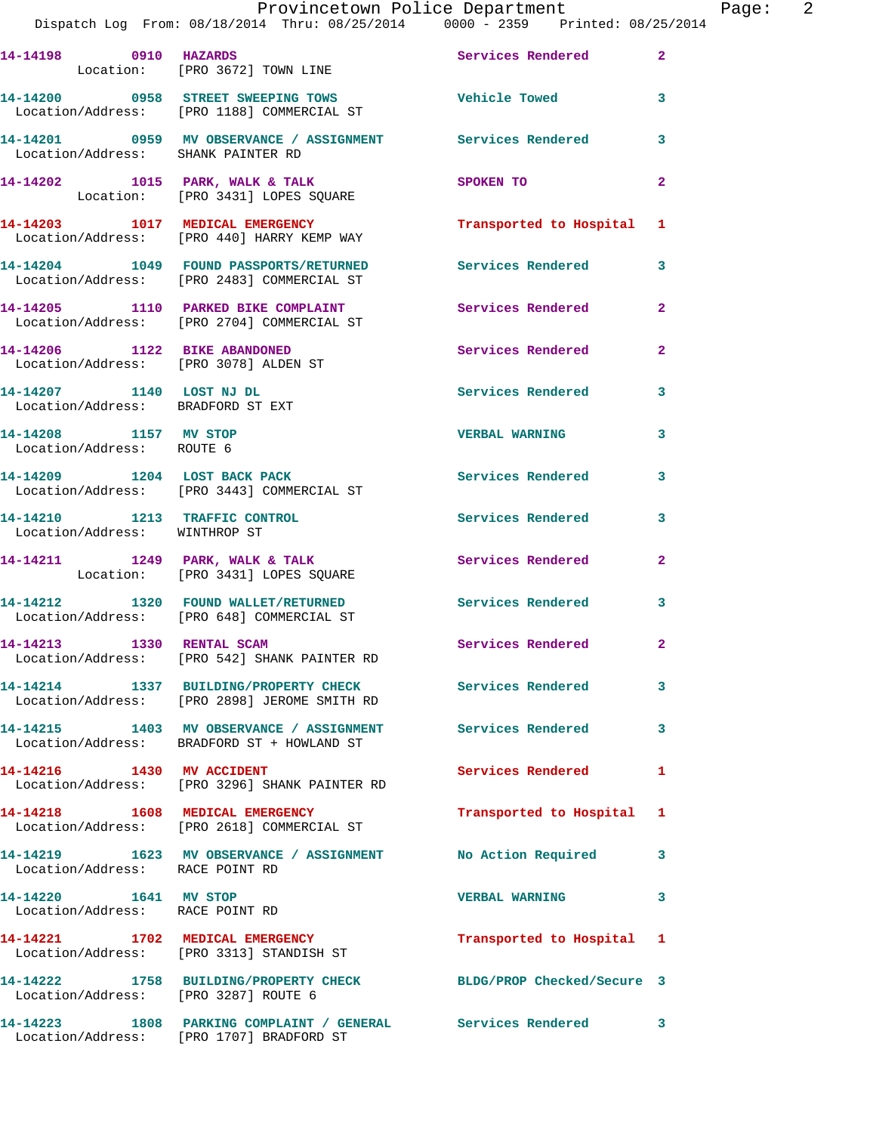|                                                                       | Provincetown Police Department<br>Dispatch Log From: 08/18/2014 Thru: 08/25/2014 0000 - 2359 Printed: 08/25/2014 |                          |                         |
|-----------------------------------------------------------------------|------------------------------------------------------------------------------------------------------------------|--------------------------|-------------------------|
| 14-14198 0910 HAZARDS                                                 | Location: [PRO 3672] TOWN LINE                                                                                   | Services Rendered        | 2 <sup>1</sup>          |
|                                                                       | 14-14200 0958 STREET SWEEPING TOWS Tehicle Towed<br>Location/Address: [PRO 1188] COMMERCIAL ST                   |                          | 3                       |
| Location/Address: SHANK PAINTER RD                                    | 14-14201 0959 MV OBSERVANCE / ASSIGNMENT Services Rendered                                                       |                          | $\overline{\mathbf{3}}$ |
|                                                                       | 14-14202 1015 PARK, WALK & TALK<br>Location: [PRO 3431] LOPES SQUARE                                             | SPOKEN TO                | $\overline{2}$          |
|                                                                       | 14-14203 1017 MEDICAL EMERGENCY<br>Location/Address: [PRO 440] HARRY KEMP WAY                                    | Transported to Hospital  | $\mathbf{1}$            |
|                                                                       | 14-14204 1049 FOUND PASSPORTS/RETURNED Services Rendered<br>Location/Address: [PRO 2483] COMMERCIAL ST           |                          | 3                       |
|                                                                       | 14-14205 1110 PARKED BIKE COMPLAINT Services Rendered<br>Location/Address: [PRO 2704] COMMERCIAL ST              |                          | $\overline{2}$          |
| 14-14206 1122 BIKE ABANDONED<br>Location/Address: [PRO 3078] ALDEN ST |                                                                                                                  | <b>Services Rendered</b> | $\overline{2}$          |
| 14-14207 1140 LOST NJ DL<br>Location/Address: BRADFORD ST EXT         |                                                                                                                  | <b>Services Rendered</b> | 3                       |
| 14-14208 1157 MV STOP<br>Location/Address: ROUTE 6                    |                                                                                                                  | <b>VERBAL WARNING</b>    | $\overline{\mathbf{3}}$ |

14-14209 1204 LOST BACK PACK **1204 1204 LOST BACK** 1 Location/Address: [PRO 3443] COMMERCIAL ST

**14-14210 1213 TRAFFIC CONTROL Services Rendered 3**  Location/Address: WINTHROP ST

14-14211 1249 PARK, WALK & TALK 3 Services Rendered 2 Location: [PRO 3431] LOPES SQUARE

**14-14212 1320 FOUND WALLET/RETURNED Services Rendered 3**  Location/Address: [PRO 648] COMMERCIAL ST

**14-14213 1330 RENTAL SCAM Services Rendered 2**  Location/Address: [PRO 542] SHANK PAINTER RD

**14-14214 1337 BUILDING/PROPERTY CHECK Services Rendered 3**  Location/Address: [PRO 2898] JEROME SMITH RD

**14-14215 1403 MV OBSERVANCE / ASSIGNMENT Services Rendered 3**  Location/Address: BRADFORD ST + HOWLAND ST

**14-14216 1430 MV ACCIDENT Services Rendered 1**  Location/Address: [PRO 3296] SHANK PAINTER RD

**14-14218 1608 MEDICAL EMERGENCY Transported to Hospital 1**  Location/Address: [PRO 2618] COMMERCIAL ST

**14-14219 1623 MV OBSERVANCE / ASSIGNMENT No Action Required 3**  Location/Address: RACE POINT RD

**14-14220 1641 MV STOP VERBAL WARNING 3**  Location/Address: RACE POINT RD

**14-14221 1702 MEDICAL EMERGENCY Transported to Hospital 1**  Location/Address: [PRO 3313] STANDISH ST

**14-14222 1758 BUILDING/PROPERTY CHECK BLDG/PROP Checked/Secure 3**  Location/Address: [PRO 3287] ROUTE 6

**14-14223 1808 PARKING COMPLAINT / GENERAL Services Rendered 3**  Location/Address: [PRO 1707] BRADFORD ST

Page: 2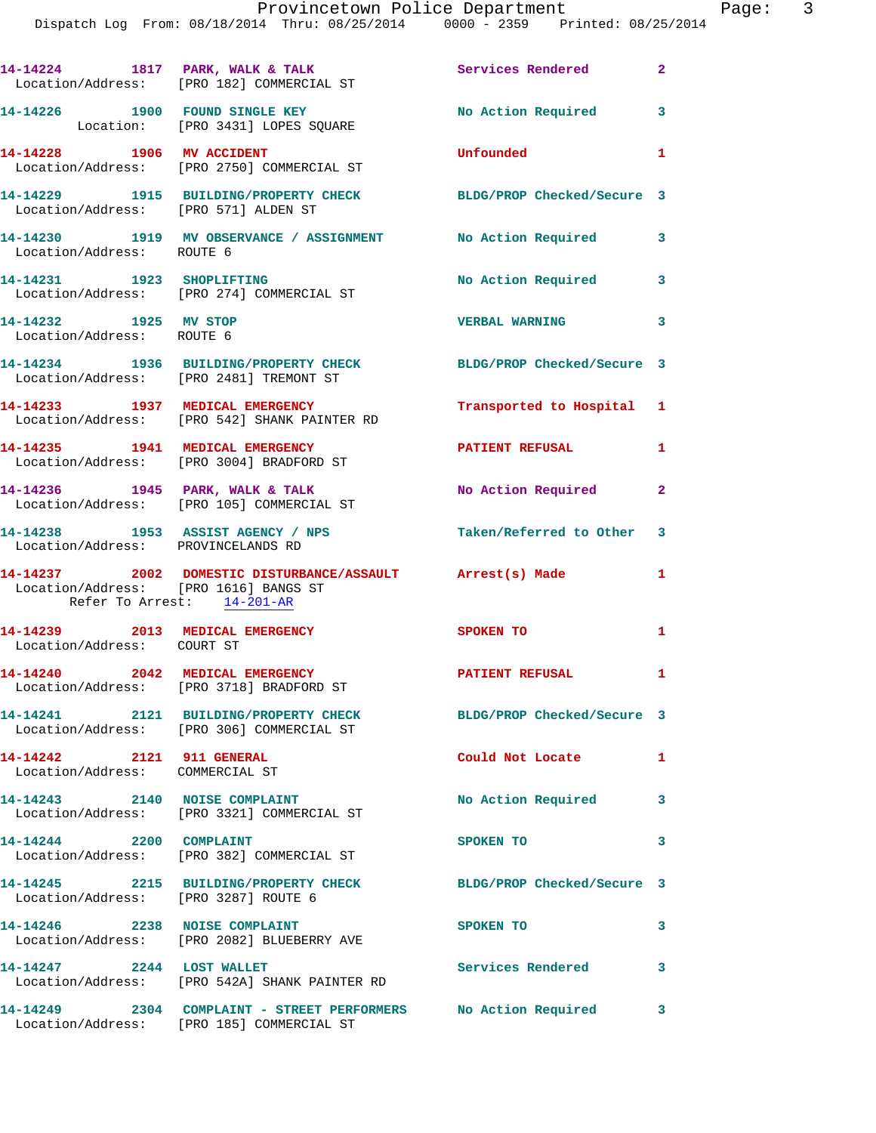|                                                              | 14-14224 1817 PARK, WALK & TALK<br>Location/Address: [PRO 182] COMMERCIAL ST                       | Services Rendered 2        |                          |
|--------------------------------------------------------------|----------------------------------------------------------------------------------------------------|----------------------------|--------------------------|
|                                                              | 14-14226 1900 FOUND SINGLE KEY<br>Location: [PRO 3431] LOPES SQUARE                                | No Action Required 3       |                          |
|                                                              | 14-14228 1906 MV ACCIDENT<br>Location/Address: [PRO 2750] COMMERCIAL ST                            | Unfounded                  | $\mathbf{1}$             |
|                                                              | 14-14229 1915 BUILDING/PROPERTY CHECK<br>Location/Address: [PRO 571] ALDEN ST                      | BLDG/PROP Checked/Secure 3 |                          |
| Location/Address: ROUTE 6                                    | 14-14230 1919 MV OBSERVANCE / ASSIGNMENT No Action Required 3                                      |                            |                          |
|                                                              | 14-14231 1923 SHOPLIFTING<br>Location/Address: [PRO 274] COMMERCIAL ST                             | No Action Required 3       |                          |
| 14-14232 1925 MV STOP<br>Location/Address: ROUTE 6           |                                                                                                    | VERBAL WARNING 3           |                          |
|                                                              | 14-14234 1936 BUILDING/PROPERTY CHECK<br>Location/Address: [PRO 2481] TREMONT ST                   | BLDG/PROP Checked/Secure 3 |                          |
|                                                              | 14-14233 1937 MEDICAL EMERGENCY<br>Location/Address: [PRO 542] SHANK PAINTER RD                    | Transported to Hospital 1  |                          |
|                                                              | 14-14235 1941 MEDICAL EMERGENCY<br>Location/Address: [PRO 3004] BRADFORD ST                        | PATIENT REFUSAL            | $\mathbf{1}$             |
|                                                              | $14-14236$ 1945 PARK, WALK & TALK<br>Location/Address: [PRO 105] COMMERCIAL ST                     | No Action Required 2       |                          |
|                                                              | 14-14238 1953 ASSIST AGENCY / NPS<br>Location/Address: PROVINCELANDS RD                            | Taken/Referred to Other 3  |                          |
|                                                              | 14-14237 2002 DOMESTIC DISTURBANCE/ASSAULT Arrest(s) Made<br>Location/Address: [PRO 1616] BANGS ST |                            | $\mathbf{1}$             |
|                                                              | Refer To Arrest: 14-201-AR                                                                         |                            |                          |
| Location/Address: COURT ST                                   | 14-14239 2013 MEDICAL EMERGENCY                                                                    | SPOKEN TO                  | $\overline{\phantom{0}}$ |
|                                                              | 14-14240 2042 MEDICAL EMERGENCY<br>Location/Address: [PRO 3718] BRADFORD ST                        | PATIENT REFUSAL            | $\mathbf{I}$             |
|                                                              | 14-14241 2121 BUILDING/PROPERTY CHECK<br>Location/Address: [PRO 306] COMMERCIAL ST                 | BLDG/PROP Checked/Secure 3 |                          |
| 14-14242 2121 911 GENERAL<br>Location/Address: COMMERCIAL ST |                                                                                                    | Could Not Locate 1         |                          |
|                                                              | 14-14243 2140 NOISE COMPLAINT<br>Location/Address: [PRO 3321] COMMERCIAL ST                        | No Action Required         | 3                        |
| 14-14244 2200 COMPLAINT                                      | Location/Address: [PRO 382] COMMERCIAL ST                                                          | SPOKEN TO                  | 3                        |
|                                                              | 14-14245 2215 BUILDING/PROPERTY CHECK<br>Location/Address: [PRO 3287] ROUTE 6                      | BLDG/PROP Checked/Secure 3 |                          |
|                                                              | 14-14246 2238 NOISE COMPLAINT<br>Location/Address: [PRO 2082] BLUEBERRY AVE                        | SPOKEN TO                  | 3                        |
| 14-14247 2244 LOST WALLET                                    | Location/Address: [PRO 542A] SHANK PAINTER RD                                                      | Services Rendered          | 3                        |
|                                                              | 14-14249 2304 COMPLAINT - STREET PERFORMERS No Action Required                                     |                            | 3                        |

Location/Address: [PRO 185] COMMERCIAL ST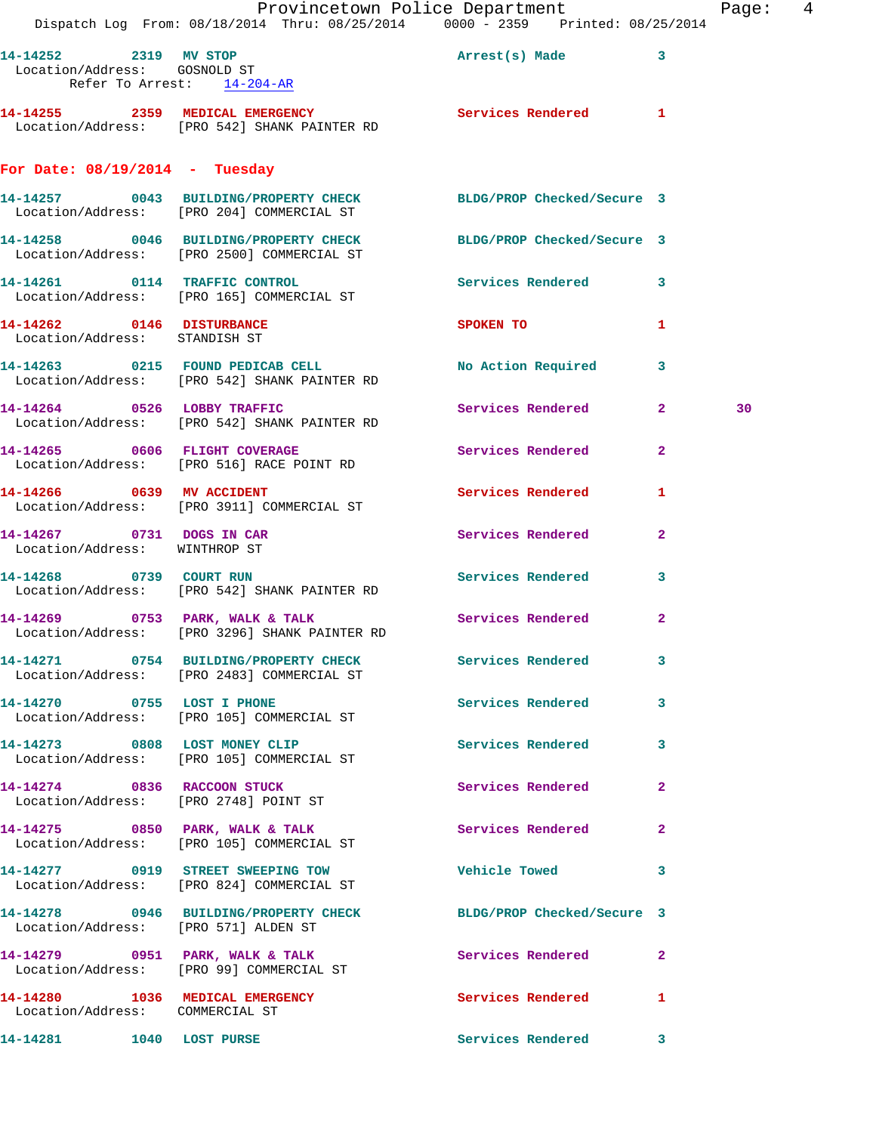|                                                            | Provincetown Police Department<br>Dispatch Log From: 08/18/2014 Thru: 08/25/2014 0000 - 2359 Printed: 08/25/2014 |                                    |                | Page: 4 |  |
|------------------------------------------------------------|------------------------------------------------------------------------------------------------------------------|------------------------------------|----------------|---------|--|
|                                                            | 14-14252 2319 MV STOP Arrest(s) Made 3<br>Location/Address: GOSNOLD ST                                           |                                    |                |         |  |
| Refer To Arrest: 14-204-AR                                 | 14-14255 2359 MEDICAL EMERGENCY Services Rendered 1<br>Location/Address: [PRO 542] SHANK PAINTER RD              |                                    |                |         |  |
| For Date: $08/19/2014$ - Tuesday                           |                                                                                                                  |                                    |                |         |  |
|                                                            | 14-14257 0043 BUILDING/PROPERTY CHECK BLDG/PROP Checked/Secure 3<br>Location/Address: [PRO 204] COMMERCIAL ST    |                                    |                |         |  |
|                                                            | 14-14258 0046 BUILDING/PROPERTY CHECK BLDG/PROP Checked/Secure 3<br>Location/Address: [PRO 2500] COMMERCIAL ST   |                                    |                |         |  |
|                                                            | 14-14261 0114 TRAFFIC CONTROL<br>Location/Address: [PRO 165] COMMERCIAL ST                                       | Services Rendered 3                |                |         |  |
| Location/Address: STANDISH ST                              | 14-14262 0146 DISTURBANCE                                                                                        | SPOKEN TO NAME OF SPOKEN OF STREET | $\mathbf{1}$   |         |  |
|                                                            | 14-14263 0215 FOUND PEDICAB CELL<br>Location/Address: [PRO 542] SHANK PAINTER RD                                 | No Action Required 3               |                |         |  |
|                                                            | 14-14264 0526 LOBBY TRAFFIC<br>Location/Address: [PRO 542] SHANK PAINTER RD                                      | Services Rendered 2                |                | 30      |  |
|                                                            | 14-14265 0606 FLIGHT COVERAGE<br>Location/Address: [PRO 516] RACE POINT RD                                       | Services Rendered                  | $\overline{2}$ |         |  |
| 14-14266 0639 MV ACCIDENT                                  | Location/Address: [PRO 3911] COMMERCIAL ST                                                                       | Services Rendered                  | 1              |         |  |
| 14-14267 0731 DOGS IN CAR<br>Location/Address: WINTHROP ST |                                                                                                                  | Services Rendered                  | $\mathbf{2}$   |         |  |
|                                                            | 14-14268 0739 COURT RUN<br>Location/Address: [PRO 542] SHANK PAINTER RD                                          | Services Rendered                  | $\mathbf{3}$   |         |  |
|                                                            | 14-14269 0753 PARK, WALK & TALK<br>Location/Address: [PRO 3296] SHANK PAINTER RD                                 | Services Rendered 2                |                |         |  |
|                                                            | 14-14271 0754 BUILDING/PROPERTY CHECK Services Rendered 3<br>Location/Address: [PRO 2483] COMMERCIAL ST          |                                    |                |         |  |
|                                                            | 14-14270 0755 LOST I PHONE<br>Location/Address: [PRO 105] COMMERCIAL ST                                          | Services Rendered 3                |                |         |  |
|                                                            | 14-14273 0808 LOST MONEY CLIP<br>Location/Address: [PRO 105] COMMERCIAL ST                                       | Services Rendered 3                |                |         |  |
|                                                            | 14-14274 0836 RACCOON STUCK<br>Location/Address: [PRO 2748] POINT ST                                             | Services Rendered                  | $\mathbf{2}$   |         |  |
|                                                            | 14-14275 0850 PARK, WALK & TALK<br>Location/Address: [PRO 105] COMMERCIAL ST                                     | Services Rendered 2                |                |         |  |
|                                                            | 14-14277 0919 STREET SWEEPING TOW<br>Location/Address: [PRO 824] COMMERCIAL ST                                   | <b>Vehicle Towed</b>               | 3              |         |  |
| Location/Address: [PRO 571] ALDEN ST                       | 14-14278 0946 BUILDING/PROPERTY CHECK BLDG/PROP Checked/Secure 3                                                 |                                    |                |         |  |
|                                                            | 14-14279 0951 PARK, WALK & TALK<br>Location/Address: [PRO 99] COMMERCIAL ST                                      | Services Rendered 2                |                |         |  |
| Location/Address: COMMERCIAL ST                            | 14-14280 1036 MEDICAL EMERGENCY                                                                                  | Services Rendered                  | $\mathbf{1}$   |         |  |
| 14-14281 1040 LOST PURSE                                   |                                                                                                                  | Services Rendered 3                |                |         |  |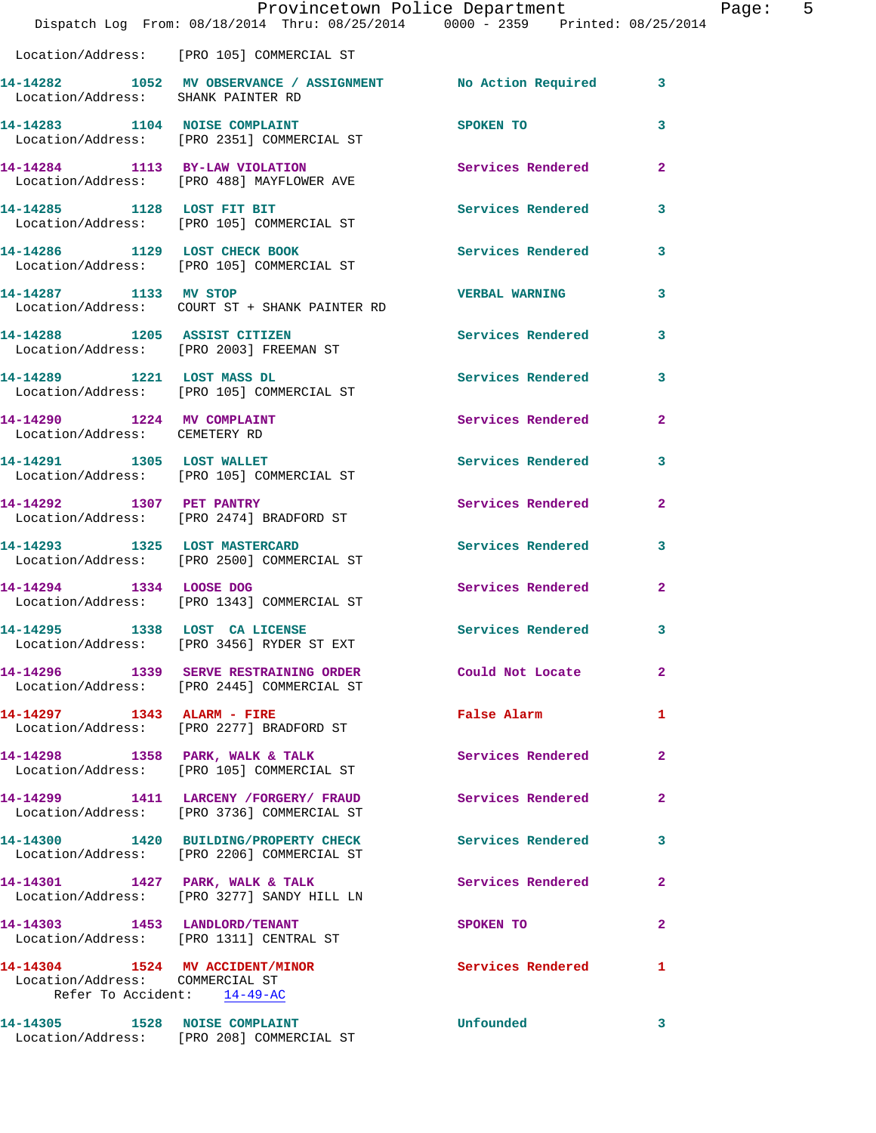|                                                                | Dispatch Log From: 08/18/2014 Thru: 08/25/2014 0000 - 2359 Printed: 08/25/2014                          | Provincetown Police Department          |              | Page: 5 |  |
|----------------------------------------------------------------|---------------------------------------------------------------------------------------------------------|-----------------------------------------|--------------|---------|--|
|                                                                | Location/Address: [PRO 105] COMMERCIAL ST                                                               |                                         |              |         |  |
|                                                                | 14-14282 1052 MV OBSERVANCE / ASSIGNMENT No Action Required 3<br>Location/Address: SHANK PAINTER RD     |                                         |              |         |  |
|                                                                | 14-14283 1104 NOISE COMPLAINT<br>Location/Address: [PRO 2351] COMMERCIAL ST                             | SPOKEN TO DESCRIPTION OF REAL PROPERTY. | 3            |         |  |
|                                                                | 14-14284 1113 BY-LAW VIOLATION<br>Location/Address: [PRO 488] MAYFLOWER AVE                             | <b>Services Rendered</b> 2              |              |         |  |
|                                                                | 14-14285 1128 LOST FIT BIT<br>Location/Address: [PRO 105] COMMERCIAL ST                                 | Services Rendered 3                     |              |         |  |
|                                                                | 14-14286 1129 LOST CHECK BOOK<br>Location/Address: [PRO 105] COMMERCIAL ST                              | Services Rendered 3                     |              |         |  |
| 14-14287 1133 MV STOP                                          | Location/Address: COURT ST + SHANK PAINTER RD                                                           | VERBAL WARNING 3                        |              |         |  |
|                                                                | 14-14288 1205 ASSIST CITIZEN<br>Location/Address: [PRO 2003] FREEMAN ST                                 | Services Rendered 3                     |              |         |  |
|                                                                | 14-14289 1221 LOST MASS DL<br>Location/Address: [PRO 105] COMMERCIAL ST                                 | Services Rendered 3                     |              |         |  |
| 14-14290 1224 MV COMPLAINT<br>Location/Address: CEMETERY RD    |                                                                                                         | Services Rendered 2                     |              |         |  |
| 14-14291 1305 LOST WALLET                                      | Location/Address: [PRO 105] COMMERCIAL ST                                                               | Services Rendered 3                     |              |         |  |
| 14-14292 1307 PET PANTRY                                       | Location/Address: [PRO 2474] BRADFORD ST                                                                | Services Rendered 2                     |              |         |  |
|                                                                | 14-14293 1325 LOST MASTERCARD<br>Location/Address: [PRO 2500] COMMERCIAL ST                             | Services Rendered 3                     |              |         |  |
| 14-14294 1334 LOOSE DOG                                        | Location/Address: [PRO 1343] COMMERCIAL ST                                                              | Services Rendered                       | $\mathbf{2}$ |         |  |
| 14-14295 1338 LOST CA LICENSE                                  | Location/Address: [PRO 3456] RYDER ST EXT                                                               | Services Rendered 3                     |              |         |  |
|                                                                | 14-14296 1339 SERVE RESTRAINING ORDER Could Not Locate<br>Location/Address: [PRO 2445] COMMERCIAL ST    |                                         | $\mathbf{2}$ |         |  |
|                                                                | 14-14297 1343 ALARM - FIRE<br>Location/Address: [PRO 2277] BRADFORD ST                                  | False Alarm                             | $\mathbf{1}$ |         |  |
|                                                                | 14-14298 1358 PARK, WALK & TALK<br>Location/Address: [PRO 105] COMMERCIAL ST                            | Services Rendered 2                     |              |         |  |
|                                                                | 14-14299 1411 LARCENY / FORGERY / FRAUD<br>Location/Address: [PRO 3736] COMMERCIAL ST                   | Services Rendered 2                     |              |         |  |
|                                                                | 14-14300 1420 BUILDING/PROPERTY CHECK Services Rendered 3<br>Location/Address: [PRO 2206] COMMERCIAL ST |                                         |              |         |  |
|                                                                | 14-14301 1427 PARK, WALK & TALK<br>Location/Address: [PRO 3277] SANDY HILL LN                           | <b>Services Rendered</b>                | $\mathbf{2}$ |         |  |
|                                                                | 14-14303 1453 LANDLORD/TENANT<br>Location/Address: [PRO 1311] CENTRAL ST                                | SPOKEN TO DESCRIPTION OF REAL PROPERTY. | $\mathbf{2}$ |         |  |
| Location/Address: COMMERCIAL ST<br>Refer To Accident: 14-49-AC | 14-14304 1524 MV ACCIDENT/MINOR Services Rendered 1                                                     |                                         |              |         |  |
|                                                                | 14-14305 1528 NOISE COMPLAINT<br>Location/Address: [PRO 208] COMMERCIAL ST                              | Unfounded                               | $\mathbf{3}$ |         |  |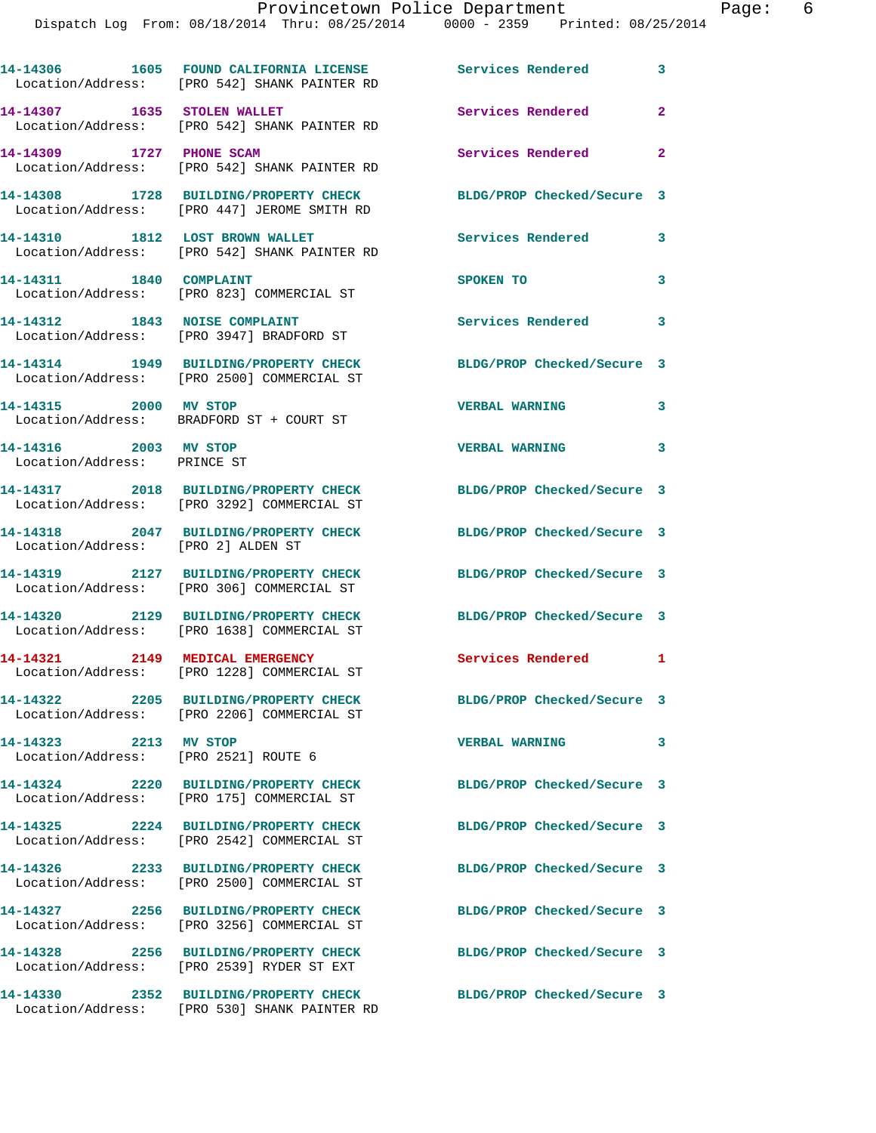|                                                               | 14-14306 1605 FOUND CALIFORNIA LICENSE Services Rendered<br>Location/Address: [PRO 542] SHANK PAINTER RD |                            | 3            |
|---------------------------------------------------------------|----------------------------------------------------------------------------------------------------------|----------------------------|--------------|
|                                                               | 14-14307 1635 STOLEN WALLET<br>Location/Address: [PRO 542] SHANK PAINTER RD                              | Services Rendered          | 2            |
| 14-14309 1727 PHONE SCAM                                      | Location/Address: [PRO 542] SHANK PAINTER RD                                                             | Services Rendered          | $\mathbf{2}$ |
|                                                               | 14-14308 1728 BUILDING/PROPERTY CHECK<br>Location/Address: [PRO 447] JEROME SMITH RD                     | BLDG/PROP Checked/Secure 3 |              |
| 14-14310 1812 LOST BROWN WALLET                               | Location/Address: [PRO 542] SHANK PAINTER RD                                                             | Services Rendered          | 3            |
| 14-14311 1840 COMPLAINT                                       | Location/Address: [PRO 823] COMMERCIAL ST                                                                | SPOKEN TO                  | 3            |
| 14-14312 1843 NOISE COMPLAINT                                 | Location/Address: [PRO 3947] BRADFORD ST                                                                 | <b>Services Rendered</b>   | 3            |
|                                                               | 14-14314 1949 BUILDING/PROPERTY CHECK<br>Location/Address: [PRO 2500] COMMERCIAL ST                      | BLDG/PROP Checked/Secure 3 |              |
| 14-14315 2000 MV STOP                                         | Location/Address: BRADFORD ST + COURT ST                                                                 | <b>VERBAL WARNING</b>      | 3            |
| 14-14316 2003 MV STOP<br>Location/Address: PRINCE ST          |                                                                                                          | <b>VERBAL WARNING</b>      | $\mathbf{3}$ |
|                                                               | 14-14317 2018 BUILDING/PROPERTY CHECK<br>Location/Address: [PRO 3292] COMMERCIAL ST                      | BLDG/PROP Checked/Secure 3 |              |
| Location/Address: [PRO 2] ALDEN ST                            | 14-14318 2047 BUILDING/PROPERTY CHECK                                                                    | BLDG/PROP Checked/Secure 3 |              |
|                                                               | 14-14319 2127 BUILDING/PROPERTY CHECK<br>Location/Address: [PRO 306] COMMERCIAL ST                       | BLDG/PROP Checked/Secure 3 |              |
| 14-14320                                                      | 2129 BUILDING/PROPERTY CHECK<br>Location/Address: [PRO 1638] COMMERCIAL ST                               | BLDG/PROP Checked/Secure 3 |              |
|                                                               | 14-14321 2149 MEDICAL EMERGENCY<br>Location/Address: [PRO 1228] COMMERCIAL ST                            | Services Rendered          | 1            |
|                                                               | 14-14322 2205 BUILDING/PROPERTY CHECK<br>Location/Address: [PRO 2206] COMMERCIAL ST                      | BLDG/PROP Checked/Secure 3 |              |
| 14-14323 2213 MV STOP<br>Location/Address: [PRO 2521] ROUTE 6 |                                                                                                          | <b>VERBAL WARNING</b>      | 3            |
|                                                               | 14-14324 2220 BUILDING/PROPERTY CHECK<br>Location/Address: [PRO 175] COMMERCIAL ST                       | BLDG/PROP Checked/Secure 3 |              |
|                                                               | 14-14325 2224 BUILDING/PROPERTY CHECK<br>Location/Address: [PRO 2542] COMMERCIAL ST                      | BLDG/PROP Checked/Secure 3 |              |
|                                                               | 14-14326 2233 BUILDING/PROPERTY CHECK<br>Location/Address: [PRO 2500] COMMERCIAL ST                      | BLDG/PROP Checked/Secure 3 |              |
|                                                               | 14-14327 2256 BUILDING/PROPERTY CHECK<br>Location/Address: [PRO 3256] COMMERCIAL ST                      | BLDG/PROP Checked/Secure 3 |              |
|                                                               | 14-14328 2256 BUILDING/PROPERTY CHECK<br>Location/Address: [PRO 2539] RYDER ST EXT                       | BLDG/PROP Checked/Secure 3 |              |
|                                                               | 14-14330 2352 BUILDING/PROPERTY CHECK<br>Location/Address: [PRO 530] SHANK PAINTER RD                    | BLDG/PROP Checked/Secure 3 |              |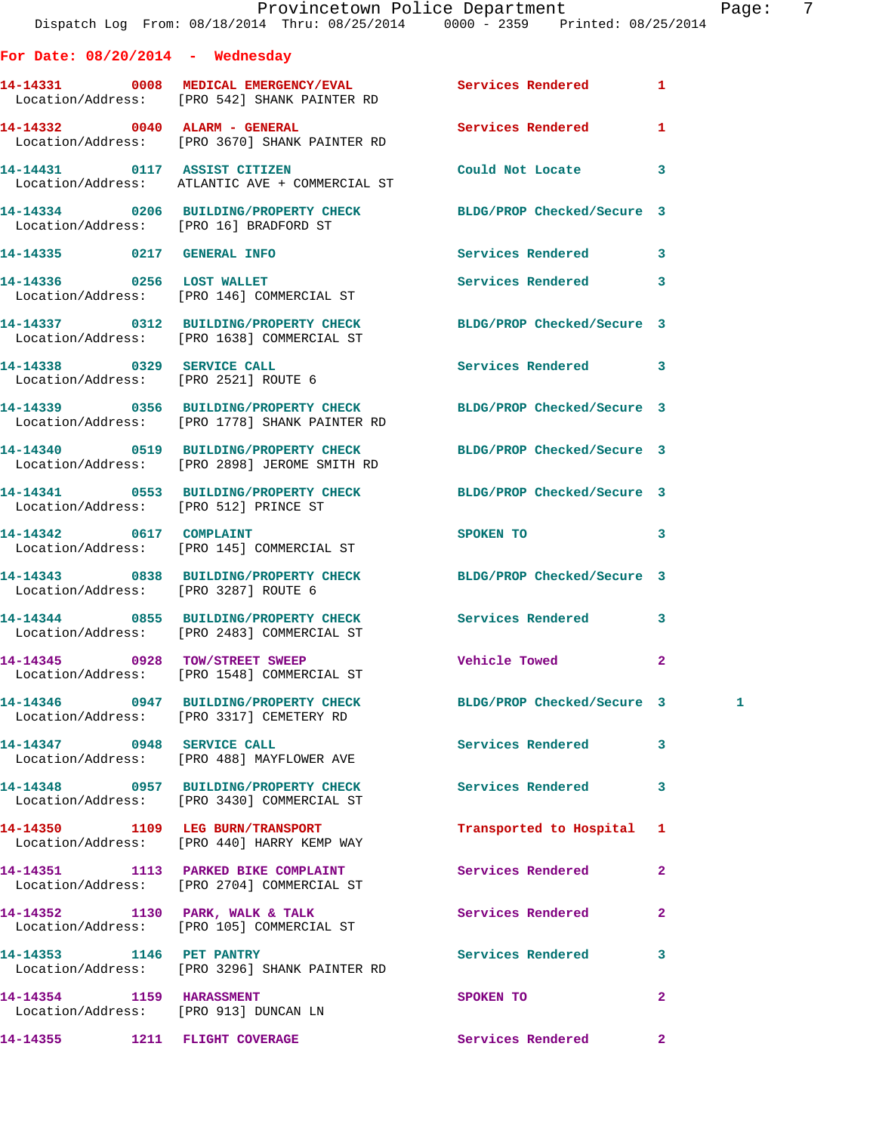|                                        |                                                                                                                   | Provincetown Police Department Page: 7 |                |   |  |
|----------------------------------------|-------------------------------------------------------------------------------------------------------------------|----------------------------------------|----------------|---|--|
| For Date: $08/20/2014$ - Wednesday     |                                                                                                                   |                                        |                |   |  |
|                                        | 14-14331 0008 MEDICAL EMERGENCY/EVAL Services Rendered 1<br>Location/Address: [PRO 542] SHANK PAINTER RD          |                                        |                |   |  |
|                                        | 14-14332 0040 ALARM - GENERAL<br>Location/Address: [PRO 3670] SHANK PAINTER RD                                    | <b>Services Rendered</b>               | $\mathbf{1}$   |   |  |
|                                        | 14-14431 0117 ASSIST CITIZEN<br>Location/Address: ATLANTIC AVE + COMMERCIAL ST                                    | Could Not Locate                       | 3              |   |  |
| Location/Address: [PRO 16] BRADFORD ST | 14-14334 0206 BUILDING/PROPERTY CHECK BLDG/PROP Checked/Secure 3                                                  |                                        |                |   |  |
|                                        | 14-14335 0217 GENERAL INFO                                                                                        | Services Rendered 3                    |                |   |  |
|                                        | 14-14336 0256 LOST WALLET<br>Location/Address: [PRO 146] COMMERCIAL ST                                            | <b>Services Rendered</b>               | 3              |   |  |
|                                        | 14-14337 0312 BUILDING/PROPERTY CHECK<br>Location/Address: [PRO 1638] COMMERCIAL ST                               | BLDG/PROP Checked/Secure 3             |                |   |  |
|                                        | 14-14338 0329 SERVICE CALL<br>Location/Address: [PRO 2521] ROUTE 6                                                | Services Rendered 3                    |                |   |  |
|                                        | 14-14339 0356 BUILDING/PROPERTY CHECK BLDG/PROP Checked/Secure 3<br>Location/Address: [PRO 1778] SHANK PAINTER RD |                                        |                |   |  |
|                                        | 14-14340 0519 BUILDING/PROPERTY CHECK BLDG/PROP Checked/Secure 3<br>Location/Address: [PRO 2898] JEROME SMITH RD  |                                        |                |   |  |
| Location/Address: [PRO 512] PRINCE ST  | 14-14341 0553 BUILDING/PROPERTY CHECK BLDG/PROP Checked/Secure 3                                                  |                                        |                |   |  |
|                                        | 14-14342 0617 COMPLAINT<br>Location/Address: [PRO 145] COMMERCIAL ST                                              | SPOKEN TO                              | 3              |   |  |
| Location/Address: [PRO 3287] ROUTE 6   | 14-14343 0838 BUILDING/PROPERTY CHECK BLDG/PROP Checked/Secure 3                                                  |                                        |                |   |  |
|                                        | 14-14344 0855 BUILDING/PROPERTY CHECK Services Rendered<br>Location/Address: [PRO 2483] COMMERCIAL ST             |                                        | 3              |   |  |
|                                        | 14-14345 0928 TOW/STREET SWEEP<br>Location/Address: [PRO 1548] COMMERCIAL ST                                      | <b>Vehicle Towed</b>                   | $\mathbf{2}$   |   |  |
|                                        | 14-14346 0947 BUILDING/PROPERTY CHECK BLDG/PROP Checked/Secure 3<br>Location/Address: [PRO 3317] CEMETERY RD      |                                        |                | 1 |  |
|                                        | 14-14347 0948 SERVICE CALL<br>Location/Address: [PRO 488] MAYFLOWER AVE                                           | Services Rendered                      | 3              |   |  |
|                                        | 14-14348 0957 BUILDING/PROPERTY CHECK Services Rendered<br>Location/Address: [PRO 3430] COMMERCIAL ST             |                                        | 3              |   |  |
|                                        | 14-14350 1109 LEG BURN/TRANSPORT<br>Location/Address: [PRO 440] HARRY KEMP WAY                                    | Transported to Hospital 1              |                |   |  |
|                                        | 14-14351 1113 PARKED BIKE COMPLAINT Services Rendered<br>Location/Address: [PRO 2704] COMMERCIAL ST               |                                        | $\overline{2}$ |   |  |
|                                        | 14-14352 1130 PARK, WALK & TALK Services Rendered<br>Location/Address: [PRO 105] COMMERCIAL ST                    |                                        | $\mathbf{2}$   |   |  |
|                                        | 14-14353 1146 PET PANTRY<br>Location/Address: [PRO 3296] SHANK PAINTER RD                                         | Services Rendered                      | 3              |   |  |
| 14-14354 1159 HARASSMENT               | Location/Address: [PRO 913] DUNCAN LN                                                                             | SPOKEN TO                              | $\mathbf{2}$   |   |  |
| 14-14355 1211 FLIGHT COVERAGE          |                                                                                                                   | Services Rendered                      | $\mathbf{2}$   |   |  |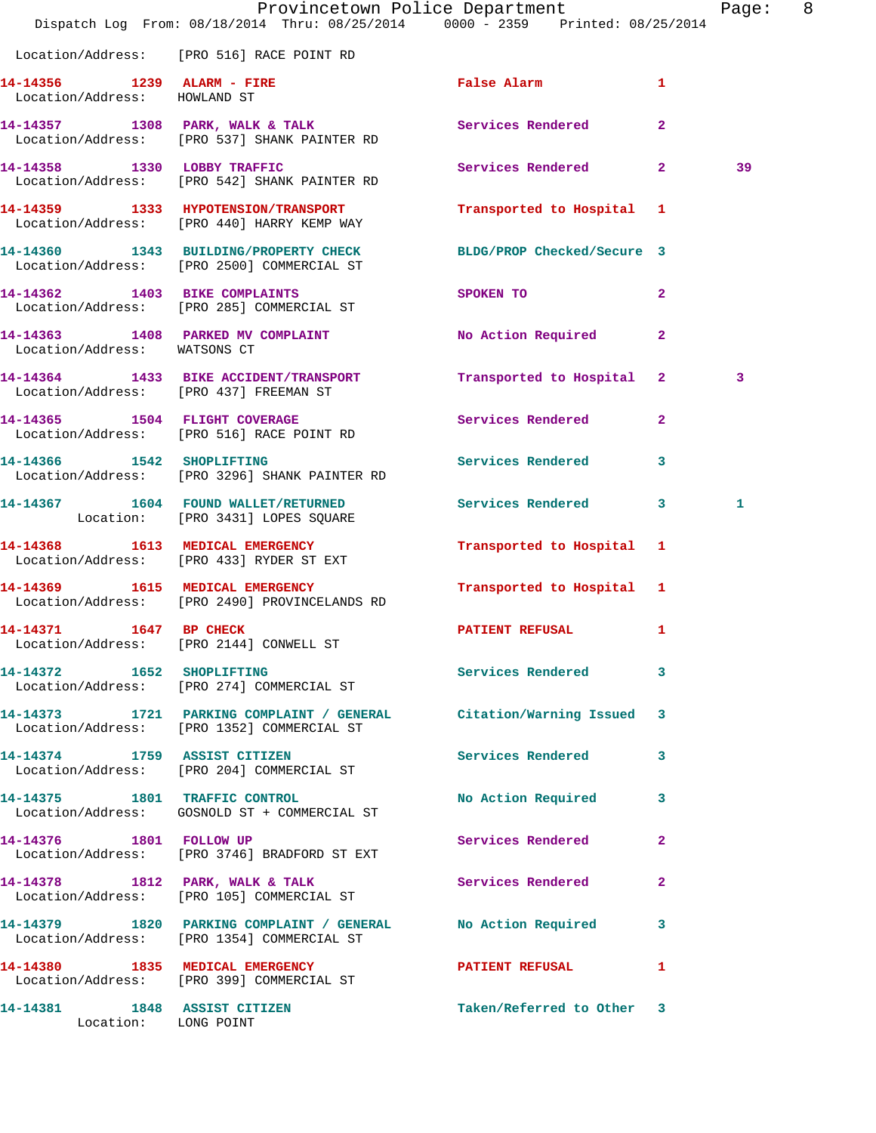|                                                            | Dispatch Log From: 08/18/2014 Thru: 08/25/2014 0000 - 2359 Printed: 08/25/2014                                    | Provincetown Police Department                                                                                  |                | Page: 8 |  |
|------------------------------------------------------------|-------------------------------------------------------------------------------------------------------------------|-----------------------------------------------------------------------------------------------------------------|----------------|---------|--|
|                                                            | Location/Address: [PRO 516] RACE POINT RD                                                                         |                                                                                                                 |                |         |  |
| 14-14356 1239 ALARM - FIRE<br>Location/Address: HOWLAND ST |                                                                                                                   | False Alarm                                                                                                     | $\mathbf{1}$   |         |  |
|                                                            | 14-14357 1308 PARK, WALK & TALK 1999 Services Rendered<br>Location/Address: [PRO 537] SHANK PAINTER RD            |                                                                                                                 | $\overline{2}$ |         |  |
|                                                            | 14-14358 1330 LOBBY TRAFFIC<br>Location/Address: [PRO 542] SHANK PAINTER RD                                       | Services Rendered 2                                                                                             |                | 39      |  |
|                                                            | 14-14359 1333 HYPOTENSION/TRANSPORT<br>Location/Address: [PRO 440] HARRY KEMP WAY                                 | Transported to Hospital 1                                                                                       |                |         |  |
|                                                            | 14-14360 1343 BUILDING/PROPERTY CHECK<br>Location/Address: [PRO 2500] COMMERCIAL ST                               | BLDG/PROP Checked/Secure 3                                                                                      |                |         |  |
|                                                            | 14-14362 1403 BIKE COMPLAINTS<br>Location/Address: [PRO 285] COMMERCIAL ST                                        | SPOKEN TO THE STRIKE STRIKE STRIKE STRIKE STRIKE STRIKE STRIKE STRIKE STRIKE STRIKE STRIKE STRIKE STRIKE STRIKE | $\mathbf{2}$   |         |  |
| Location/Address: WATSONS CT                               | 14-14363 1408 PARKED MV COMPLAINT                                                                                 | No Action Required 2                                                                                            |                |         |  |
|                                                            | 14-14364 1433 BIKE ACCIDENT/TRANSPORT<br>Location/Address: [PRO 437] FREEMAN ST                                   | Transported to Hospital 2                                                                                       |                | 3       |  |
|                                                            | 14-14365 1504 FLIGHT COVERAGE<br>Location/Address: [PRO 516] RACE POINT RD                                        | Services Rendered 2                                                                                             |                |         |  |
|                                                            | 14-14366 1542 SHOPLIFTING<br>Location/Address: [PRO 3296] SHANK PAINTER RD                                        | Services Rendered                                                                                               | 3              |         |  |
|                                                            | 14-14367 1604 FOUND WALLET/RETURNED<br>Location: [PRO 3431] LOPES SQUARE                                          | Services Rendered 3                                                                                             |                | 1       |  |
|                                                            | 14-14368 1613 MEDICAL EMERGENCY<br>Location/Address: [PRO 433] RYDER ST EXT                                       | Transported to Hospital 1                                                                                       |                |         |  |
|                                                            | 14-14369 1615 MEDICAL EMERGENCY<br>Location/Address: [PRO 2490] PROVINCELANDS RD                                  | Transported to Hospital 1                                                                                       |                |         |  |
| 14-14371 1647 BP CHECK                                     | Location/Address: [PRO 2144] CONWELL ST                                                                           | PATIENT REFUSAL 1                                                                                               |                |         |  |
|                                                            | 14-14372 1652 SHOPLIFTING<br>Location/Address: [PRO 274] COMMERCIAL ST                                            | Services Rendered 3                                                                                             |                |         |  |
|                                                            | 14-14373 1721 PARKING COMPLAINT / GENERAL Citation/Warning Issued 3<br>Location/Address: [PRO 1352] COMMERCIAL ST |                                                                                                                 |                |         |  |
|                                                            | 14-14374 1759 ASSIST CITIZEN<br>Location/Address: [PRO 204] COMMERCIAL ST                                         | Services Rendered 3                                                                                             |                |         |  |
|                                                            | 14-14375 1801 TRAFFIC CONTROL<br>Location/Address: GOSNOLD ST + COMMERCIAL ST                                     | No Action Required 3                                                                                            |                |         |  |
| 14-14376 1801 FOLLOW UP                                    | Location/Address: [PRO 3746] BRADFORD ST EXT                                                                      | Services Rendered 2                                                                                             |                |         |  |
|                                                            | 14-14378 1812 PARK, WALK & TALK<br>Location/Address: [PRO 105] COMMERCIAL ST                                      | Services Rendered                                                                                               | $\mathbf{2}$   |         |  |
|                                                            | 14-14379 1820 PARKING COMPLAINT / GENERAL No Action Required 3<br>Location/Address: [PRO 1354] COMMERCIAL ST      |                                                                                                                 |                |         |  |
|                                                            | 14-14380 1835 MEDICAL EMERGENCY<br>Location/Address: [PRO 399] COMMERCIAL ST                                      | <b>PATIENT REFUSAL</b>                                                                                          | $\mathbf{1}$   |         |  |
| 14-14381 1848 ASSIST CITIZEN<br>Location: LONG POINT       |                                                                                                                   | Taken/Referred to Other 3                                                                                       |                |         |  |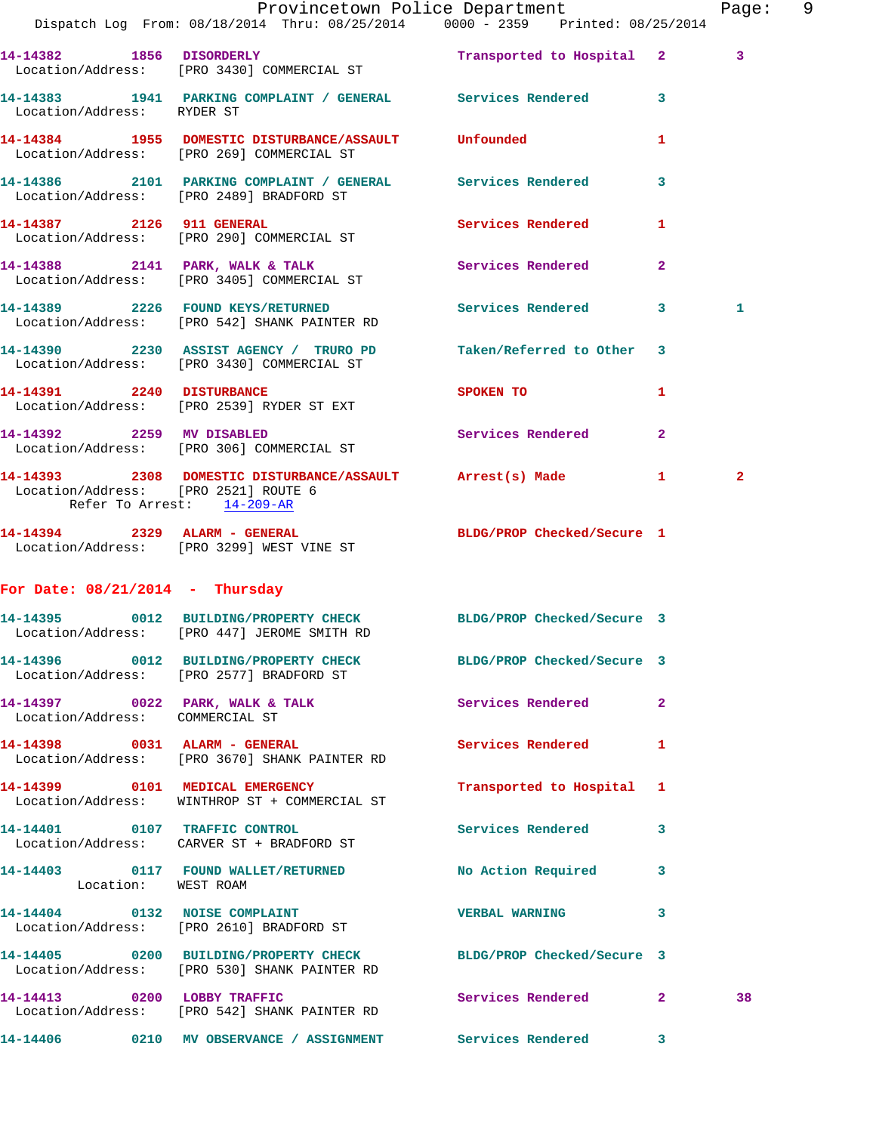|                                   |                                                                                                                  | Provincetown Police Department                                                  |                | Page: 9 |
|-----------------------------------|------------------------------------------------------------------------------------------------------------------|---------------------------------------------------------------------------------|----------------|---------|
|                                   | Dispatch Log From: 08/18/2014 Thru: 08/25/2014 0000 - 2359 Printed: 08/25/2014                                   |                                                                                 |                |         |
|                                   | 14-14382 1856 DISORDERLY Transported to Hospital 2<br>Location/Address: [PRO 3430] COMMERCIAL ST                 |                                                                                 | 3              |         |
| Location/Address: RYDER ST        | 14-14383 1941 PARKING COMPLAINT / GENERAL Services Rendered 3                                                    |                                                                                 |                |         |
|                                   | 14-14384 1955 DOMESTIC DISTURBANCE/ASSAULT Unfounded<br>Location/Address: [PRO 269] COMMERCIAL ST                |                                                                                 | 1              |         |
|                                   | 14-14386 2101 PARKING COMPLAINT / GENERAL Services Rendered<br>Location/Address: [PRO 2489] BRADFORD ST          |                                                                                 | $\mathbf{3}$   |         |
|                                   | 14-14387 2126 911 GENERAL<br>Location/Address: [PRO 290] COMMERCIAL ST                                           | <b>Services Rendered</b>                                                        | $\mathbf{1}$   |         |
|                                   | 14-14388 2141 PARK, WALK & TALK Services Rendered<br>Location/Address: [PRO 3405] COMMERCIAL ST                  |                                                                                 | $\overline{2}$ |         |
|                                   | 14-14389 2226 FOUND KEYS/RETURNED Services Rendered 3<br>Location/Address: [PRO 542] SHANK PAINTER RD            |                                                                                 | 1              |         |
|                                   | 14-14390 2230 ASSIST AGENCY / TRURO PD Taken/Referred to Other 3<br>Location/Address: [PRO 3430] COMMERCIAL ST   |                                                                                 |                |         |
|                                   | 14-14391 2240 DISTURBANCE<br>Location/Address: [PRO 2539] RYDER ST EXT                                           | SPOKEN TO AND TO A TABLE TO A TABLE TO A TABLE TO A TABLE TO A TABLE TO A TABLE | $\mathbf{1}$   |         |
|                                   | 14-14392 2259 MV DISABLED<br>Location/Address: [PRO 306] COMMERCIAL ST                                           | Services Rendered                                                               | $\mathbf{2}$   |         |
| Refer To Arrest: 14-209-AR        | 14-14393 2308 DOMESTIC DISTURBANCE/ASSAULT Arrest(s) Made 1<br>Location/Address: [PRO 2521] ROUTE 6              |                                                                                 | $\mathbf{2}$   |         |
|                                   | 14-14394 2329 ALARM - GENERAL<br>Location/Address: [PRO 3299] WEST VINE ST                                       | BLDG/PROP Checked/Secure 1                                                      |                |         |
| For Date: $08/21/2014$ - Thursday |                                                                                                                  |                                                                                 |                |         |
|                                   | 14-14395 0012 BUILDING/PROPERTY CHECK BLDG/PROP Checked/Secure 3<br>Location/Address: [PRO 447] JEROME SMITH RD  |                                                                                 |                |         |
|                                   | 14-14396 0012 BUILDING/PROPERTY CHECK BLDG/PROP Checked/Secure 3<br>Location/Address: [PRO 2577] BRADFORD ST     |                                                                                 |                |         |
| Location/Address: COMMERCIAL ST   | 14-14397 0022 PARK, WALK & TALK                                                                                  | Services Rendered 2                                                             |                |         |
|                                   | 14-14398 0031 ALARM - GENERAL<br>Location/Address: [PRO 3670] SHANK PAINTER RD                                   | Services Rendered 1                                                             |                |         |
|                                   | 14-14399 0101 MEDICAL EMERGENCY<br>Location/Address: WINTHROP ST + COMMERCIAL ST                                 | Transported to Hospital 1                                                       |                |         |
|                                   | 14-14401 0107 TRAFFIC CONTROL<br>Location/Address: CARVER ST + BRADFORD ST                                       | Services Rendered 3                                                             |                |         |
| Location: WEST ROAM               | 14-14403 0117 FOUND WALLET/RETURNED                                                                              | No Action Required 3                                                            |                |         |
|                                   | 14-14404 0132 NOISE COMPLAINT<br>Location/Address: [PRO 2610] BRADFORD ST                                        | VERBAL WARNING 3                                                                |                |         |
|                                   | 14-14405 0200 BUILDING/PROPERTY CHECK BLDG/PROP Checked/Secure 3<br>Location/Address: [PRO 530] SHANK PAINTER RD |                                                                                 |                |         |
| 14-14413 0200 LOBBY TRAFFIC       | Location/Address: [PRO 542] SHANK PAINTER RD                                                                     | <b>Services Rendered</b> 2                                                      |                | 38      |
|                                   | 14-14406  0210 MV OBSERVANCE / ASSIGNMENT Services Rendered 3                                                    |                                                                                 |                |         |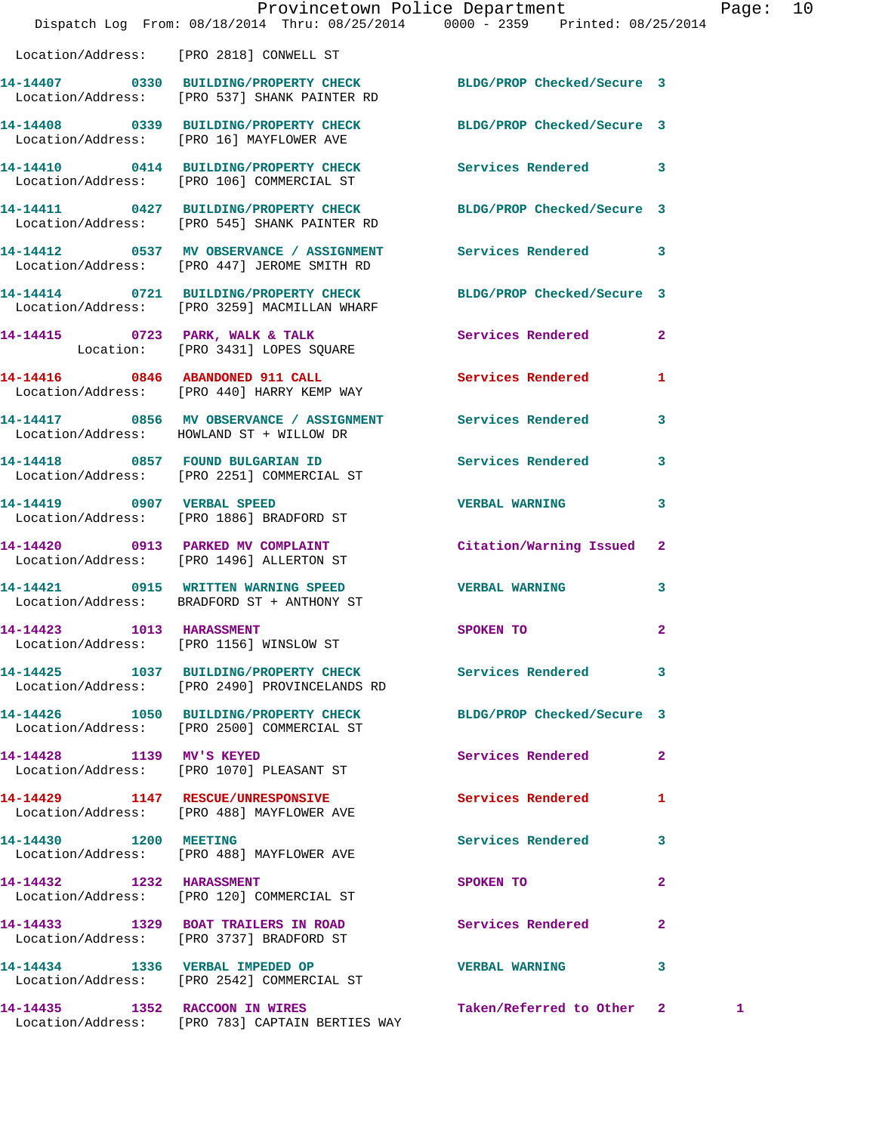|                                    | Dispatch Log From: 08/18/2014 Thru: 08/25/2014 0000 - 2359 Printed: 08/25/2014                                    | Provincetown Police Department |                | Page: 10 |  |
|------------------------------------|-------------------------------------------------------------------------------------------------------------------|--------------------------------|----------------|----------|--|
|                                    | Location/Address: [PRO 2818] CONWELL ST                                                                           |                                |                |          |  |
|                                    | 14-14407 0330 BUILDING/PROPERTY CHECK BLDG/PROP Checked/Secure 3<br>Location/Address: [PRO 537] SHANK PAINTER RD  |                                |                |          |  |
|                                    | 14-14408 0339 BUILDING/PROPERTY CHECK BLDG/PROP Checked/Secure 3<br>Location/Address: [PRO 16] MAYFLOWER AVE      |                                |                |          |  |
|                                    | 14-14410 0414 BUILDING/PROPERTY CHECK Services Rendered 3<br>Location/Address: [PRO 106] COMMERCIAL ST            |                                |                |          |  |
|                                    | 14-14411 0427 BUILDING/PROPERTY CHECK BLDG/PROP Checked/Secure 3<br>Location/Address: [PRO 545] SHANK PAINTER RD  |                                |                |          |  |
|                                    | 14-14412   0537 MV OBSERVANCE / ASSIGNMENT   Services Rendered   3<br>Location/Address: [PRO 447] JEROME SMITH RD |                                |                |          |  |
|                                    | 14-14414 0721 BUILDING/PROPERTY CHECK BLDG/PROP Checked/Secure 3<br>Location/Address: [PRO 3259] MACMILLAN WHARF  |                                |                |          |  |
|                                    | 14-14415 0723 PARK, WALK & TALK<br>Location: [PRO 3431] LOPES SQUARE                                              | Services Rendered              | $\mathbf{2}$   |          |  |
|                                    | 14-14416 0846 ABANDONED 911 CALL<br>Location/Address: [PRO 440] HARRY KEMP WAY                                    | Services Rendered              | $\mathbf{1}$   |          |  |
|                                    | 14-14417 0856 MV OBSERVANCE / ASSIGNMENT Services Rendered 3<br>Location/Address: HOWLAND ST + WILLOW DR          |                                |                |          |  |
|                                    | 14-14418 0857 FOUND BULGARIAN ID Services Rendered 3<br>Location/Address: [PRO 2251] COMMERCIAL ST                |                                |                |          |  |
|                                    | 14-14419 0907 VERBAL SPEED<br>Location/Address: [PRO 1886] BRADFORD ST                                            | VERBAL WARNING 3               |                |          |  |
|                                    | 14-14420 0913 PARKED MV COMPLAINT<br>Location/Address: [PRO 1496] ALLERTON ST                                     | Citation/Warning Issued 2      |                |          |  |
|                                    | 14-14421 0915 WRITTEN WARNING SPEED WERBAL WARNING 3<br>Location/Address: BRADFORD ST + ANTHONY ST                |                                |                |          |  |
| 14-14423 1013 HARASSMENT           | Location/Address: [PRO 1156] WINSLOW ST                                                                           | SPOKEN TO                      | 2              |          |  |
|                                    | 14-14425 1037 BUILDING/PROPERTY CHECK<br>Location/Address: [PRO 2490] PROVINCELANDS RD                            | Services Rendered 3            |                |          |  |
|                                    | 14-14426 1050 BUILDING/PROPERTY CHECK<br>Location/Address: [PRO 2500] COMMERCIAL ST                               | BLDG/PROP Checked/Secure 3     |                |          |  |
|                                    | 14-14428 1139 MV'S KEYED<br>Location/Address: [PRO 1070] PLEASANT ST                                              | Services Rendered              | $\overline{2}$ |          |  |
|                                    | 14-14429 1147 RESCUE/UNRESPONSIVE<br>Location/Address: [PRO 488] MAYFLOWER AVE                                    | <b>Services Rendered</b>       | 1              |          |  |
| 14-14430 1200 MEETING              | Location/Address: [PRO 488] MAYFLOWER AVE                                                                         | Services Rendered 3            |                |          |  |
|                                    | 14-14432 1232 HARASSMENT<br>Location/Address: [PRO 120] COMMERCIAL ST                                             | SPOKEN TO                      | $\overline{2}$ |          |  |
|                                    | 14-14433 1329 BOAT TRAILERS IN ROAD<br>Location/Address: [PRO 3737] BRADFORD ST                                   | <b>Services Rendered</b>       | $\mathbf{2}$   |          |  |
|                                    | 14-14434 1336 VERBAL IMPEDED OP<br>Location/Address: [PRO 2542] COMMERCIAL ST                                     | <b>VERBAL WARNING</b>          | 3              |          |  |
| 14-14435   1352   RACCOON IN WIRES |                                                                                                                   | Taken/Referred to Other 2      |                | 1.       |  |

Location/Address: [PRO 783] CAPTAIN BERTIES WAY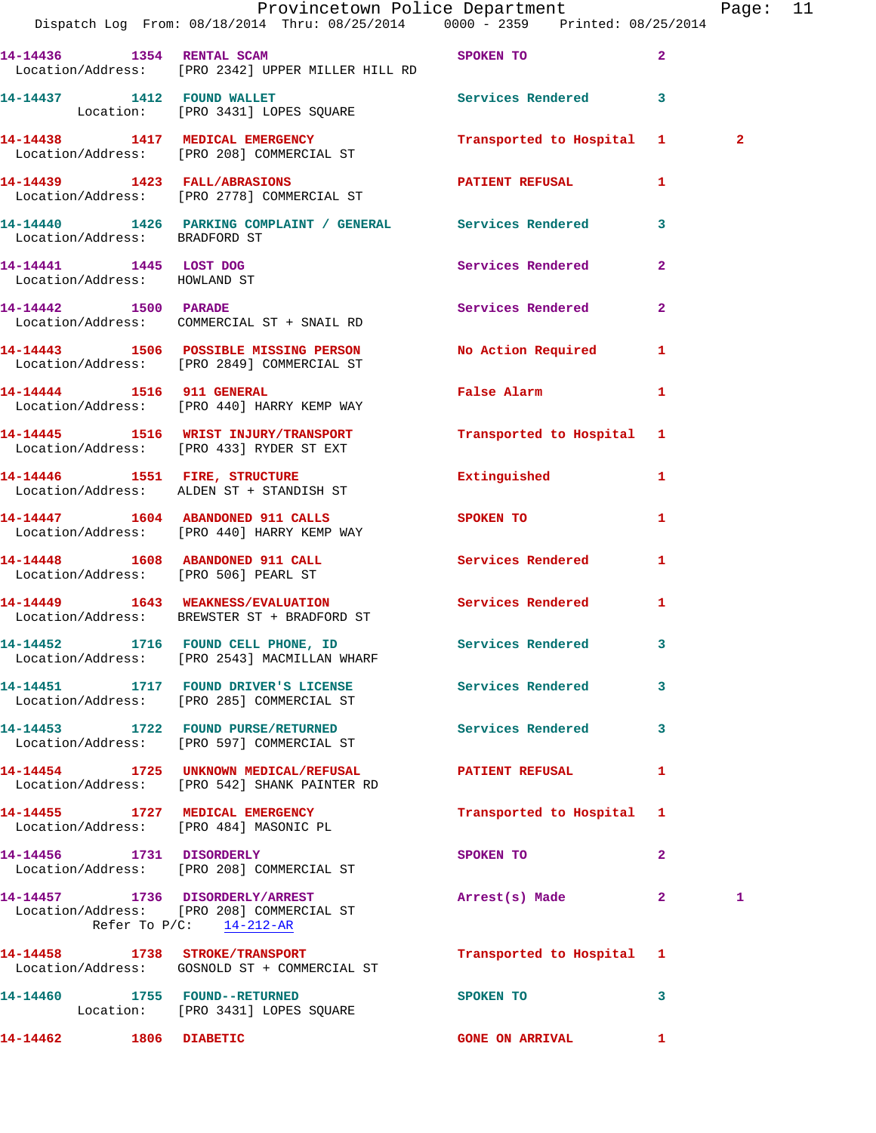|                              | Dispatch Log From: 08/18/2014 Thru: 08/25/2014 0000 - 2359 Printed: 08/25/2014                               | Provincetown Police Department Page: 11 |              |                |  |
|------------------------------|--------------------------------------------------------------------------------------------------------------|-----------------------------------------|--------------|----------------|--|
|                              |                                                                                                              |                                         |              |                |  |
|                              | 14-14436 1354 RENTAL SCAM SPOKEN TO<br>Location/Address: [PRO 2342] UPPER MILLER HILL RD                     |                                         | $\mathbf{2}$ |                |  |
|                              | 14-14437 1412 FOUND WALLET Services Rendered 3<br>Location: [PRO 3431] LOPES SQUARE                          |                                         |              |                |  |
|                              | 14-14438 1417 MEDICAL EMERGENCY Transported to Hospital 1<br>Location/Address: [PRO 208] COMMERCIAL ST       |                                         |              | $\overline{2}$ |  |
|                              | 14-14439 1423 FALL/ABRASIONS PATIENT REFUSAL 1<br>Location/Address: [PRO 2778] COMMERCIAL ST                 |                                         |              |                |  |
|                              | 14-14440   1426   PARKING COMPLAINT / GENERAL   Services Rendered   3<br>Location/Address:   BRADFORD ST     |                                         |              |                |  |
| Location/Address: HOWLAND ST | 14-14441 1445 LOST DOG                                                                                       | Services Rendered                       | $\mathbf{2}$ |                |  |
|                              | 14-14442 1500 PARADE<br>Location/Address: COMMERCIAL ST + SNAIL RD                                           | Services Rendered                       | $\mathbf{2}$ |                |  |
|                              | 14-14443 1506 POSSIBLE MISSING PERSON NO Action Required 1<br>Location/Address: [PRO 2849] COMMERCIAL ST     |                                         |              |                |  |
|                              | 14-14444 1516 911 GENERAL<br>Location/Address: [PRO 440] HARRY KEMP WAY                                      | False Alarm 1                           |              |                |  |
|                              | 14-14445 1516 WRIST INJURY/TRANSPORT Transported to Hospital 1<br>Location/Address: [PRO 433] RYDER ST EXT   |                                         |              |                |  |
|                              | 14-14446 1551 FIRE, STRUCTURE<br>Location/Address: ALDEN ST + STANDISH ST                                    | Extinguished 1                          |              |                |  |
|                              | 14-14447 1604 ABANDONED 911 CALLS<br>Location/Address: [PRO 440] HARRY KEMP WAY                              | SPOKEN TO AND THE SPOKEN TO             | $\mathbf{1}$ |                |  |
|                              | 14-14448 1608 ABANDONED 911 CALL Services Rendered 1<br>Location/Address: [PRO 506] PEARL ST                 |                                         |              |                |  |
|                              | 14-14449   1643   WEAKNESS/EVALUATION   Services Rendered   1<br>Location/Address: BREWSTER ST + BRADFORD ST |                                         |              |                |  |
|                              | 14-14452 1716 FOUND CELL PHONE, ID<br>Location/Address: [PRO 2543] MACMILLAN WHARF                           | <b>Services Rendered</b>                |              |                |  |
|                              | 14-14451 1717 FOUND DRIVER'S LICENSE Services Rendered<br>Location/Address: [PRO 285] COMMERCIAL ST          |                                         | 3            |                |  |
|                              | 14-14453 1722 FOUND PURSE/RETURNED<br>Location/Address: [PRO 597] COMMERCIAL ST                              | Services Rendered 3                     |              |                |  |
|                              | 14-14454 1725 UNKNOWN MEDICAL/REFUSAL PATIENT REFUSAL<br>Location/Address: [PRO 542] SHANK PAINTER RD        |                                         | $\mathbf{1}$ |                |  |
|                              | 14-14455 1727 MEDICAL EMERGENCY<br>Location/Address: [PRO 484] MASONIC PL                                    | Transported to Hospital 1               |              |                |  |
|                              | 14-14456 1731 DISORDERLY<br>Location/Address: [PRO 208] COMMERCIAL ST                                        | SPOKEN TO                               | $\mathbf{2}$ |                |  |
|                              | 14-14457 1736 DISORDERLY/ARREST<br>Location/Address: [PRO 208] COMMERCIAL ST<br>Refer To $P/C$ : 14-212-AR   | Arrest(s) Made 2                        |              | 1              |  |
|                              | 14-14458 1738 STROKE/TRANSPORT<br>Location/Address: GOSNOLD ST + COMMERCIAL ST                               | Transported to Hospital 1               |              |                |  |
|                              | 14-14460 1755 FOUND--RETURNED<br>Location: [PRO 3431] LOPES SQUARE                                           | SPOKEN TO                               | 3            |                |  |
| 14-14462 1806 DIABETIC       |                                                                                                              | GONE ON ARRIVAL 1                       |              |                |  |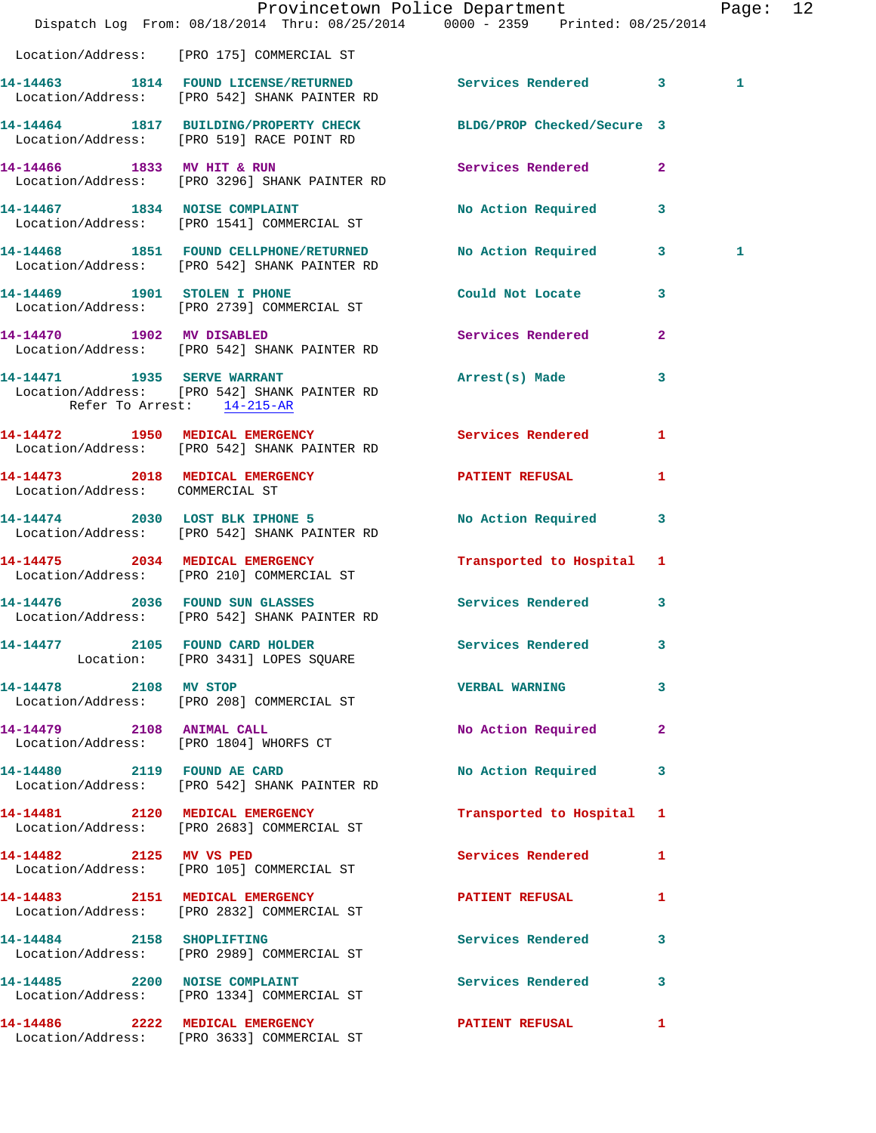|                                 | Dispatch Log From: 08/18/2014 Thru: 08/25/2014 0000 - 2359 Printed: 08/25/2014                                | Provincetown Police Department |              | Page: 12     |  |
|---------------------------------|---------------------------------------------------------------------------------------------------------------|--------------------------------|--------------|--------------|--|
|                                 | Location/Address: [PRO 175] COMMERCIAL ST                                                                     |                                |              |              |  |
|                                 | 14-14463 1814 FOUND LICENSE/RETURNED Services Rendered 3<br>Location/Address: [PRO 542] SHANK PAINTER RD      |                                |              | $\mathbf{1}$ |  |
|                                 | 14-14464 1817 BUILDING/PROPERTY CHECK BLDG/PROP Checked/Secure 3<br>Location/Address: [PRO 519] RACE POINT RD |                                |              |              |  |
| 14-14466 1833 MV HIT & RUN      | Location/Address: [PRO 3296] SHANK PAINTER RD                                                                 | Services Rendered 2            |              |              |  |
|                                 | 14-14467 1834 NOISE COMPLAINT<br>Location/Address: [PRO 1541] COMMERCIAL ST                                   | No Action Required 3           |              |              |  |
|                                 | 14-14468 1851 FOUND CELLPHONE/RETURNED No Action Required 3<br>Location/Address: [PRO 542] SHANK PAINTER RD   |                                |              | 1            |  |
|                                 | 14-14469 1901 STOLEN I PHONE<br>Location/Address: [PRO 2739] COMMERCIAL ST                                    | Could Not Locate 3             |              |              |  |
| 14-14470 1902 MV DISABLED       | Location/Address: [PRO 542] SHANK PAINTER RD                                                                  | Services Rendered              | $\mathbf{2}$ |              |  |
| Refer To Arrest: 14-215-AR      | 14-14471 1935 SERVE WARRANT<br>Location/Address: [PRO 542] SHANK PAINTER RD                                   | Arrest(s) Made                 | 3            |              |  |
|                                 | 14-14472 1950 MEDICAL EMERGENCY Services Rendered<br>Location/Address: [PRO 542] SHANK PAINTER RD             |                                | $\mathbf{1}$ |              |  |
| Location/Address: COMMERCIAL ST | 14-14473 2018 MEDICAL EMERGENCY PATIENT REFUSAL 1                                                             |                                |              |              |  |
|                                 | 14-14474 2030 LOST BLK IPHONE 5<br>Location/Address: [PRO 542] SHANK PAINTER RD                               | No Action Required 3           |              |              |  |
|                                 | 14-14475 2034 MEDICAL EMERGENCY<br>Location/Address: [PRO 210] COMMERCIAL ST                                  | Transported to Hospital 1      |              |              |  |
|                                 | 14-14476 2036 FOUND SUN GLASSES<br>Location/Address: [PRO 542] SHANK PAINTER RD                               | Services Rendered 3            |              |              |  |
|                                 | 14-14477 2105 FOUND CARD HOLDER<br>Location: [PRO 3431] LOPES SQUARE                                          | Services Rendered 3            |              |              |  |
| 14-14478 2108 MV STOP           | Location/Address: [PRO 208] COMMERCIAL ST                                                                     | <b>VERBAL WARNING</b>          | 3            |              |  |
| 14-14479 2108 ANIMAL CALL       | Location/Address: [PRO 1804] WHORFS CT                                                                        | No Action Required             | $\mathbf{2}$ |              |  |
|                                 | 14-14480 2119 FOUND AE CARD<br>Location/Address: [PRO 542] SHANK PAINTER RD                                   | No Action Required             | 3            |              |  |
|                                 | 14-14481 2120 MEDICAL EMERGENCY<br>Location/Address: [PRO 2683] COMMERCIAL ST                                 | Transported to Hospital 1      |              |              |  |
|                                 | 14-14482 2125 MV VS PED<br>Location/Address: [PRO 105] COMMERCIAL ST                                          | Services Rendered 1            |              |              |  |
|                                 | 14-14483 2151 MEDICAL EMERGENCY<br>Location/Address: [PRO 2832] COMMERCIAL ST                                 | PATIENT REFUSAL 1              |              |              |  |
|                                 | 14-14484 2158 SHOPLIFTING<br>Location/Address: [PRO 2989] COMMERCIAL ST                                       | Services Rendered 3            |              |              |  |
|                                 | 14-14485 2200 NOISE COMPLAINT<br>Location/Address: [PRO 1334] COMMERCIAL ST                                   | Services Rendered 3            |              |              |  |
|                                 | 14-14486 2222 MEDICAL EMERGENCY PATIENT REFUSAL<br>Location/Address: [PRO 3633] COMMERCIAL ST                 |                                | 1            |              |  |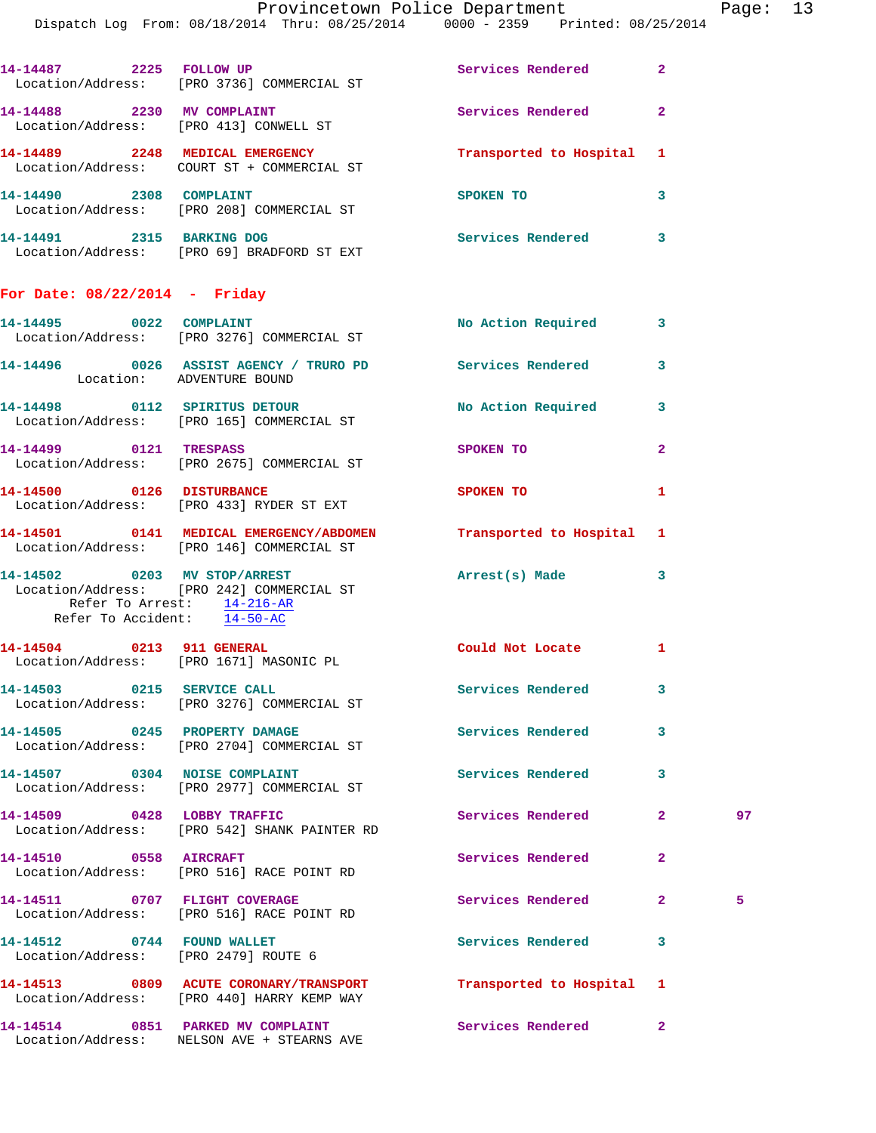Page:  $13$ <br>2014

|                                                                                           | Provincetown Police Department                                                                               |                           |                |
|-------------------------------------------------------------------------------------------|--------------------------------------------------------------------------------------------------------------|---------------------------|----------------|
|                                                                                           | Dispatch Log From: 08/18/2014 Thru: 08/25/2014 0000 - 2359 Printed: 08/25/2014                               |                           |                |
|                                                                                           | 14-14487 2225 FOLLOW UP<br>Location/Address: [PRO 3736] COMMERCIAL ST                                        | Services Rendered         | $\mathbf{2}$   |
| 14-14488 2230 MV COMPLAINT                                                                | Location/Address: [PRO 413] CONWELL ST                                                                       | Services Rendered         | $\overline{2}$ |
|                                                                                           | 14-14489 2248 MEDICAL EMERGENCY<br>Location/Address: COURT ST + COMMERCIAL ST                                | Transported to Hospital   | 1              |
| 14-14490 2308 COMPLAINT                                                                   | Location/Address: [PRO 208] COMMERCIAL ST                                                                    | SPOKEN TO                 | 3              |
|                                                                                           | 14-14491 2315 BARKING DOG<br>Location/Address: [PRO 69] BRADFORD ST EXT                                      | Services Rendered         | 3              |
| For Date: $08/22/2014$ - Friday                                                           |                                                                                                              |                           |                |
|                                                                                           | 14-14495 0022 COMPLAINT<br>Location/Address: [PRO 3276] COMMERCIAL ST                                        | <b>No Action Required</b> | 3              |
| Location: ADVENTURE BOUND                                                                 | 14-14496  0026 ASSIST AGENCY / TRURO PD  Services Rendered                                                   |                           | 3              |
|                                                                                           | 14-14498 0112 SPIRITUS DETOUR<br>Location/Address: [PRO 165] COMMERCIAL ST                                   | No Action Required        | 3              |
| 14-14499 0121 TRESPASS                                                                    | Location/Address: [PRO 2675] COMMERCIAL ST                                                                   | SPOKEN TO                 | $\mathbf{2}$   |
| 14-14500 0126 DISTURBANCE                                                                 | Location/Address: [PRO 433] RYDER ST EXT                                                                     | <b>SPOKEN TO</b>          | 1              |
|                                                                                           | 14-14501 0141 MEDICAL EMERGENCY/ABDOMEN Transported to Hospital<br>Location/Address: [PRO 146] COMMERCIAL ST |                           | 1              |
| 14-14502 0203 MV STOP/ARREST<br>Refer To Arrest: 14-216-AR<br>Refer To Accident: 14-50-AC | Location/Address: [PRO 242] COMMERCIAL ST                                                                    | Arrest(s) Made            | 3              |
| 14-14504 0213 911 GENERAL                                                                 | Location/Address: [PRO 1671] MASONIC PL                                                                      | Could Not Locate          | 1              |
| 14-14503 0215 SERVICE CALL                                                                | Location/Address: [PRO 3276] COMMERCIAL ST                                                                   | Services Rendered         | 3              |
| 14-14505 0245 PROPERTY DAMAGE                                                             | Location/Address: [PRO 2704] COMMERCIAL ST                                                                   | Services Rendered         | 3              |

**14-14507 0304 NOISE COMPLAINT Services Rendered 3**  Location/Address: [PRO 2977] COMMERCIAL ST

14-14509 0428 LOBBY TRAFFIC Services Rendered 2 97 Location/Address: [PRO 542] SHANK PAINTER RD

14-14510 0558 AIRCRAFT Services Rendered 2 Location/Address: [PRO 516] RACE POINT RD

**14-14511 0707 FLIGHT COVERAGE Services Rendered 2 5**  Location/Address: [PRO 516] RACE POINT RD

**14-14512 0744 FOUND WALLET Services Rendered 3** 

Location/Address: [PRO 2479] ROUTE 6

Location/Address: [PRO 440] HARRY KEMP WAY

Location/Address: NELSON AVE + STEARNS AVE

**14-14513 0809 ACUTE CORONARY/TRANSPORT Transported to Hospital 1** 

**14-14514 0851 PARKED MV COMPLAINT Services Rendered 2**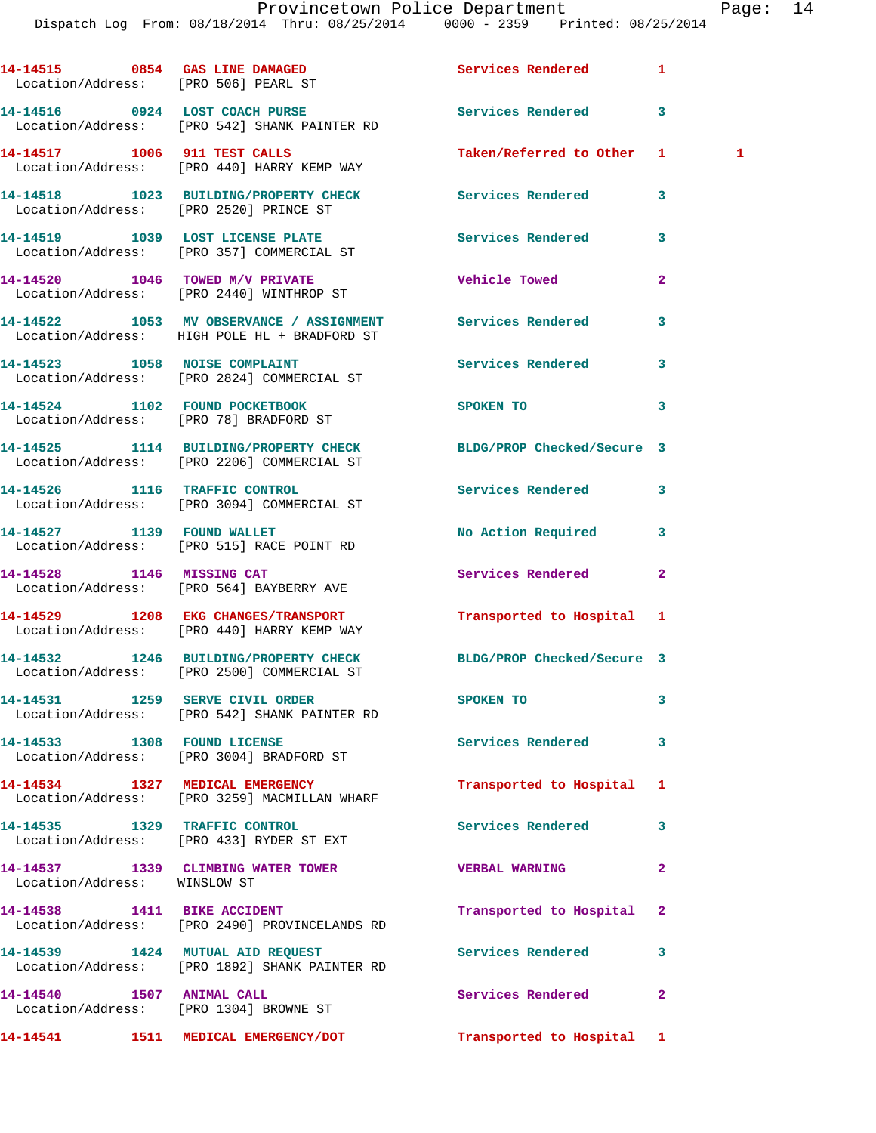|                                        | 14-14515 0854 GAS LINE DAMAGED Services Rendered<br>Location/Address: [PRO 506] PEARL ST                       |                           | 1              |
|----------------------------------------|----------------------------------------------------------------------------------------------------------------|---------------------------|----------------|
|                                        | 14-14516 0924 LOST COACH PURSE<br>Location/Address: [PRO 542] SHANK PAINTER RD                                 | <b>Services Rendered</b>  | 3              |
|                                        | 14-14517 1006 911 TEST CALLS<br>Location/Address: [PRO 440] HARRY KEMP WAY                                     | Taken/Referred to Other 1 | 1              |
| Location/Address: [PRO 2520] PRINCE ST | 14-14518 1023 BUILDING/PROPERTY CHECK Services Rendered                                                        |                           | 3              |
|                                        | 14-14519 1039 LOST LICENSE PLATE<br>Location/Address: [PRO 357] COMMERCIAL ST                                  | Services Rendered         | 3              |
|                                        | 14-14520 1046 TOWED M/V PRIVATE<br>Location/Address: [PRO 2440] WINTHROP ST                                    | <b>Vehicle Towed</b>      | $\overline{a}$ |
|                                        | 14-14522 1053 MV OBSERVANCE / ASSIGNMENT Services Rendered<br>Location/Address: HIGH POLE HL + BRADFORD ST     |                           | 3              |
|                                        | 14-14523 1058 NOISE COMPLAINT<br>Location/Address: [PRO 2824] COMMERCIAL ST                                    | Services Rendered         | 3              |
| 14-14524 1102 FOUND POCKETBOOK         | Location/Address: [PRO 78] BRADFORD ST                                                                         | SPOKEN TO                 | 3              |
|                                        | 14-14525 1114 BUILDING/PROPERTY CHECK BLDG/PROP Checked/Secure 3<br>Location/Address: [PRO 2206] COMMERCIAL ST |                           |                |
|                                        | 14-14526 1116 TRAFFIC CONTROL<br>Location/Address: [PRO 3094] COMMERCIAL ST                                    | <b>Services Rendered</b>  | 3              |
|                                        | 14-14527 1139 FOUND WALLET<br>Location/Address: [PRO 515] RACE POINT RD                                        | No Action Required        | 3              |
|                                        | 14-14528 1146 MISSING CAT<br>Location/Address: [PRO 564] BAYBERRY AVE                                          | Services Rendered         | $\mathbf{2}$   |
|                                        | 14-14529 1208 EKG CHANGES/TRANSPORT<br>Location/Address: [PRO 440] HARRY KEMP WAY                              | Transported to Hospital 1 |                |
|                                        | 14-14532 1246 BUILDING/PROPERTY CHECK BLDG/PROP Checked/Secure 3<br>Location/Address: [PRO 2500] COMMERCIAL ST |                           |                |
|                                        | 14-14531 1259 SERVE CIVIL ORDER<br>Location/Address: [PRO 542] SHANK PAINTER RD                                | SPOKEN TO                 | 3              |
| 14-14533 1308 FOUND LICENSE            | Location/Address: [PRO 3004] BRADFORD ST                                                                       | <b>Services Rendered</b>  | 3              |
|                                        | 14-14534 1327 MEDICAL EMERGENCY<br>Location/Address: [PRO 3259] MACMILLAN WHARF                                | Transported to Hospital   | 1              |
|                                        | 14-14535 1329 TRAFFIC CONTROL<br>Location/Address: [PRO 433] RYDER ST EXT                                      | <b>Services Rendered</b>  | 3              |
| Location/Address: WINSLOW ST           | 14-14537 1339 CLIMBING WATER TOWER                                                                             | <b>VERBAL WARNING</b>     | $\mathbf{2}$   |
|                                        | 14-14538 1411 BIKE ACCIDENT<br>Location/Address: [PRO 2490] PROVINCELANDS RD                                   | Transported to Hospital   | $\mathbf{2}$   |
|                                        | 14-14539 1424 MUTUAL AID REQUEST<br>Location/Address: [PRO 1892] SHANK PAINTER RD                              | Services Rendered         | 3              |
| Location/Address: [PRO 1304] BROWNE ST | 14-14540 1507 ANIMAL CALL                                                                                      | <b>Services Rendered</b>  | $\mathbf{2}$   |
|                                        | 14-14541 1511 MEDICAL EMERGENCY/DOT Transported to Hospital 1                                                  |                           |                |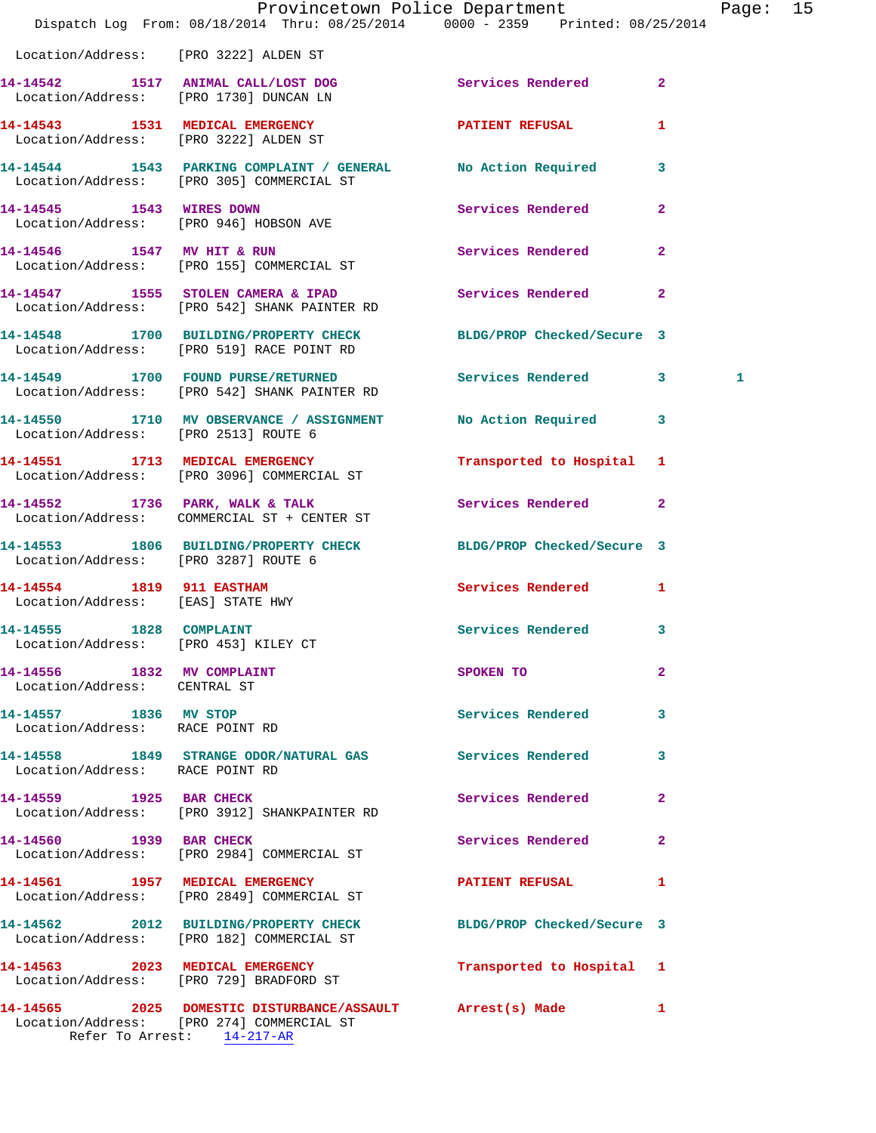|                                                                 | Dispatch Log From: 08/18/2014 Thru: 08/25/2014 0000 - 2359 Printed: 08/25/2014                                | Provincetown Police Department                                                                                                                                                                                                |              | Page: 15 |  |
|-----------------------------------------------------------------|---------------------------------------------------------------------------------------------------------------|-------------------------------------------------------------------------------------------------------------------------------------------------------------------------------------------------------------------------------|--------------|----------|--|
| Location/Address: [PRO 3222] ALDEN ST                           |                                                                                                               |                                                                                                                                                                                                                               |              |          |  |
|                                                                 | 14-14542 1517 ANIMAL CALL/LOST DOG<br>Location/Address: [PRO 1730] DUNCAN LN                                  | Services Rendered 2                                                                                                                                                                                                           |              |          |  |
|                                                                 | 14-14543 1531 MEDICAL EMERGENCY<br>Location/Address: [PRO 3222] ALDEN ST                                      | PATIENT REFUSAL                                                                                                                                                                                                               | $\mathbf{1}$ |          |  |
|                                                                 | 14-14544 1543 PARKING COMPLAINT / GENERAL No Action Required 3<br>Location/Address: [PRO 305] COMMERCIAL ST   |                                                                                                                                                                                                                               |              |          |  |
|                                                                 | 14-14545 1543 WIRES DOWN<br>Location/Address: [PRO 946] HOBSON AVE                                            | Services Rendered 2                                                                                                                                                                                                           |              |          |  |
|                                                                 | 14-14546 1547 MV HIT & RUN<br>Location/Address: [PRO 155] COMMERCIAL ST                                       | Services Rendered 2                                                                                                                                                                                                           |              |          |  |
|                                                                 | 14-14547 1555 STOLEN CAMERA & IPAD Services Rendered 2<br>Location/Address: [PRO 542] SHANK PAINTER RD        |                                                                                                                                                                                                                               |              |          |  |
|                                                                 | 14-14548 1700 BUILDING/PROPERTY CHECK BLDG/PROP Checked/Secure 3<br>Location/Address: [PRO 519] RACE POINT RD |                                                                                                                                                                                                                               |              |          |  |
|                                                                 | 14-14549 1700 FOUND PURSE/RETURNED Services Rendered 3<br>Location/Address: [PRO 542] SHANK PAINTER RD        |                                                                                                                                                                                                                               |              | 1        |  |
| Location/Address: [PRO 2513] ROUTE 6                            | 14-14550 1710 MV OBSERVANCE / ASSIGNMENT No Action Required 3                                                 |                                                                                                                                                                                                                               |              |          |  |
|                                                                 | 14-14551 1713 MEDICAL EMERGENCY<br>Location/Address: [PRO 3096] COMMERCIAL ST                                 | Transported to Hospital 1                                                                                                                                                                                                     |              |          |  |
|                                                                 | 14-14552 1736 PARK, WALK & TALK<br>Location/Address: COMMERCIAL ST + CENTER ST                                | Services Rendered 2                                                                                                                                                                                                           |              |          |  |
| Location/Address: [PRO 3287] ROUTE 6                            | 14-14553 1806 BUILDING/PROPERTY CHECK BLDG/PROP Checked/Secure 3                                              |                                                                                                                                                                                                                               |              |          |  |
| 14-14554 1819 911 EASTHAM<br>Location/Address: [EAS] STATE HWY  |                                                                                                               | Services Rendered 1                                                                                                                                                                                                           |              |          |  |
| 14-14555 1828 COMPLAINT<br>Location/Address: [PRO 453] KILEY CT |                                                                                                               | Services Rendered 3                                                                                                                                                                                                           |              |          |  |
| 14-14556 1832 MV COMPLAINT<br>Location/Address: CENTRAL ST      |                                                                                                               | SPOKEN TO AND TO A STRUCK TO A THING OF THE STRUCK OF THE STRUCK OF THE STRUCK OF THE STRUCK OF THE STRUCK OF THE STRUCK OF THE STRUCK OF THE STRUCK OF THE STRUCK OF THE STRUCK OF THE STRUCK OF THE STRUCK OF THE STRUCK OF | $\mathbf{2}$ |          |  |
| 14-14557 1836 MV STOP<br>Location/Address: RACE POINT RD        |                                                                                                               | Services Rendered 3                                                                                                                                                                                                           |              |          |  |
| Location/Address: RACE POINT RD                                 | 14-14558 1849 STRANGE ODOR/NATURAL GAS Services Rendered 3                                                    |                                                                                                                                                                                                                               |              |          |  |
|                                                                 | 14-14559 1925 BAR CHECK<br>Location/Address: [PRO 3912] SHANKPAINTER RD                                       | Services Rendered                                                                                                                                                                                                             | $\mathbf{2}$ |          |  |
| 14-14560 1939 BAR CHECK                                         | Location/Address: [PRO 2984] COMMERCIAL ST                                                                    | Services Rendered 2                                                                                                                                                                                                           |              |          |  |
|                                                                 | 14-14561 1957 MEDICAL EMERGENCY<br>Location/Address: [PRO 2849] COMMERCIAL ST                                 | PATIENT REFUSAL 1                                                                                                                                                                                                             |              |          |  |
|                                                                 | 14-14562 2012 BUILDING/PROPERTY CHECK BLDG/PROP Checked/Secure 3<br>Location/Address: [PRO 182] COMMERCIAL ST |                                                                                                                                                                                                                               |              |          |  |
|                                                                 | 14-14563 2023 MEDICAL EMERGENCY<br>Location/Address: [PRO 729] BRADFORD ST                                    | Transported to Hospital 1                                                                                                                                                                                                     |              |          |  |
| Refer To Arrest: 14-217-AR                                      | 14-14565 2025 DOMESTIC DISTURBANCE/ASSAULT Arrest(s) Made 1<br>Location/Address: [PRO 274] COMMERCIAL ST      |                                                                                                                                                                                                                               |              |          |  |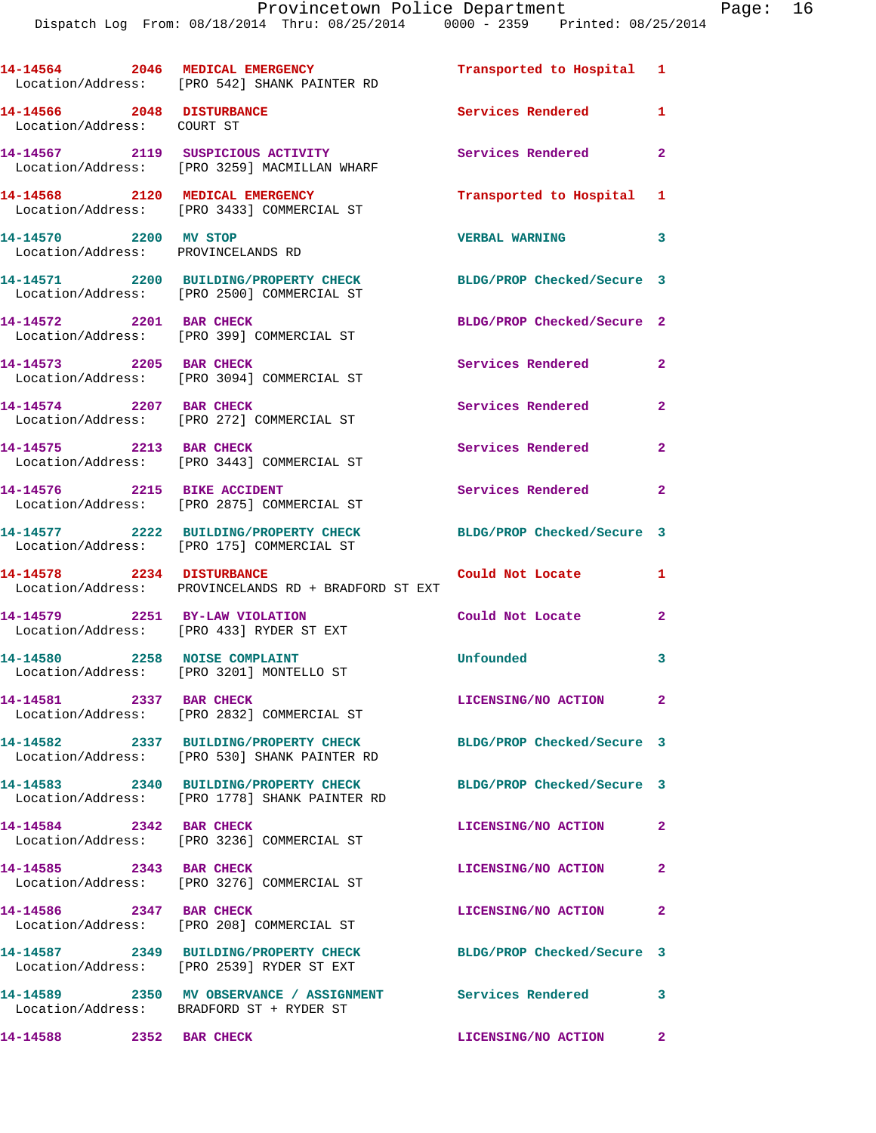|                                                             | 14-14564 2046 MEDICAL EMERGENCY<br>Location/Address: [PRO 542] SHANK PAINTER RD                        | Transported to Hospital 1  |                |
|-------------------------------------------------------------|--------------------------------------------------------------------------------------------------------|----------------------------|----------------|
| 14-14566 2048 DISTURBANCE<br>Location/Address: COURT ST     |                                                                                                        | Services Rendered          | $\mathbf{1}$   |
|                                                             | 14-14567 2119 SUSPICIOUS ACTIVITY<br>Location/Address: [PRO 3259] MACMILLAN WHARF                      | Services Rendered 2        |                |
|                                                             | 14-14568 2120 MEDICAL EMERGENCY<br>Location/Address: [PRO 3433] COMMERCIAL ST                          | Transported to Hospital 1  |                |
| 14-14570 2200 MV STOP<br>Location/Address: PROVINCELANDS RD |                                                                                                        | <b>VERBAL WARNING</b>      | 3              |
|                                                             | 14-14571 2200 BUILDING/PROPERTY CHECK<br>Location/Address: [PRO 2500] COMMERCIAL ST                    | BLDG/PROP Checked/Secure 3 |                |
| 14-14572 2201 BAR CHECK                                     | Location/Address: [PRO 399] COMMERCIAL ST                                                              | BLDG/PROP Checked/Secure 2 |                |
| 14-14573 2205 BAR CHECK                                     | Location/Address: [PRO 3094] COMMERCIAL ST                                                             | Services Rendered 2        |                |
| 14-14574 2207 BAR CHECK                                     | Location/Address: [PRO 272] COMMERCIAL ST                                                              | Services Rendered 2        |                |
| 14-14575 2213 BAR CHECK                                     | Location/Address: [PRO 3443] COMMERCIAL ST                                                             | Services Rendered          | $\mathbf{2}$   |
|                                                             | 14-14576 2215 BIKE ACCIDENT<br>Location/Address: [PRO 2875] COMMERCIAL ST                              | Services Rendered          | $\mathbf{2}$   |
|                                                             | 14-14577 2222 BUILDING/PROPERTY CHECK<br>Location/Address: [PRO 175] COMMERCIAL ST                     | BLDG/PROP Checked/Secure 3 |                |
|                                                             | 14-14578 2234 DISTURBANCE<br>Location/Address: PROVINCELANDS RD + BRADFORD ST EXT                      | Could Not Locate           | 1              |
| 14-14579 2251 BY-LAW VIOLATION                              | Location/Address: [PRO 433] RYDER ST EXT                                                               | Could Not Locate 2         |                |
|                                                             | 14-14580 2258 NOISE COMPLAINT<br>Location/Address: [PRO 3201] MONTELLO ST                              | Unfounded                  | 3              |
| 14-14581 2337 BAR CHECK                                     | Location/Address: [PRO 2832] COMMERCIAL ST                                                             | LICENSING/NO ACTION        | $\mathbf{2}$   |
|                                                             | 14-14582 2337 BUILDING/PROPERTY CHECK<br>Location/Address: [PRO 530] SHANK PAINTER RD                  | BLDG/PROP Checked/Secure 3 |                |
|                                                             | 14-14583 2340 BUILDING/PROPERTY CHECK<br>Location/Address: [PRO 1778] SHANK PAINTER RD                 | BLDG/PROP Checked/Secure 3 |                |
| 14-14584 2342 BAR CHECK                                     | Location/Address: [PRO 3236] COMMERCIAL ST                                                             | LICENSING/NO ACTION        | $\mathbf{2}$   |
| 14-14585 2343 BAR CHECK                                     | Location/Address: [PRO 3276] COMMERCIAL ST                                                             | LICENSING/NO ACTION        | $\overline{2}$ |
| 14-14586 2347 BAR CHECK                                     | Location/Address: [PRO 208] COMMERCIAL ST                                                              | LICENSING/NO ACTION        | $\mathbf{2}$   |
|                                                             | 14-14587 2349 BUILDING/PROPERTY CHECK<br>Location/Address: [PRO 2539] RYDER ST EXT                     | BLDG/PROP Checked/Secure 3 |                |
|                                                             | 14-14589 2350 MV OBSERVANCE / ASSIGNMENT Services Rendered<br>Location/Address: BRADFORD ST + RYDER ST |                            | 3              |
| 14-14588 2352 BAR CHECK                                     |                                                                                                        | LICENSING/NO ACTION 2      |                |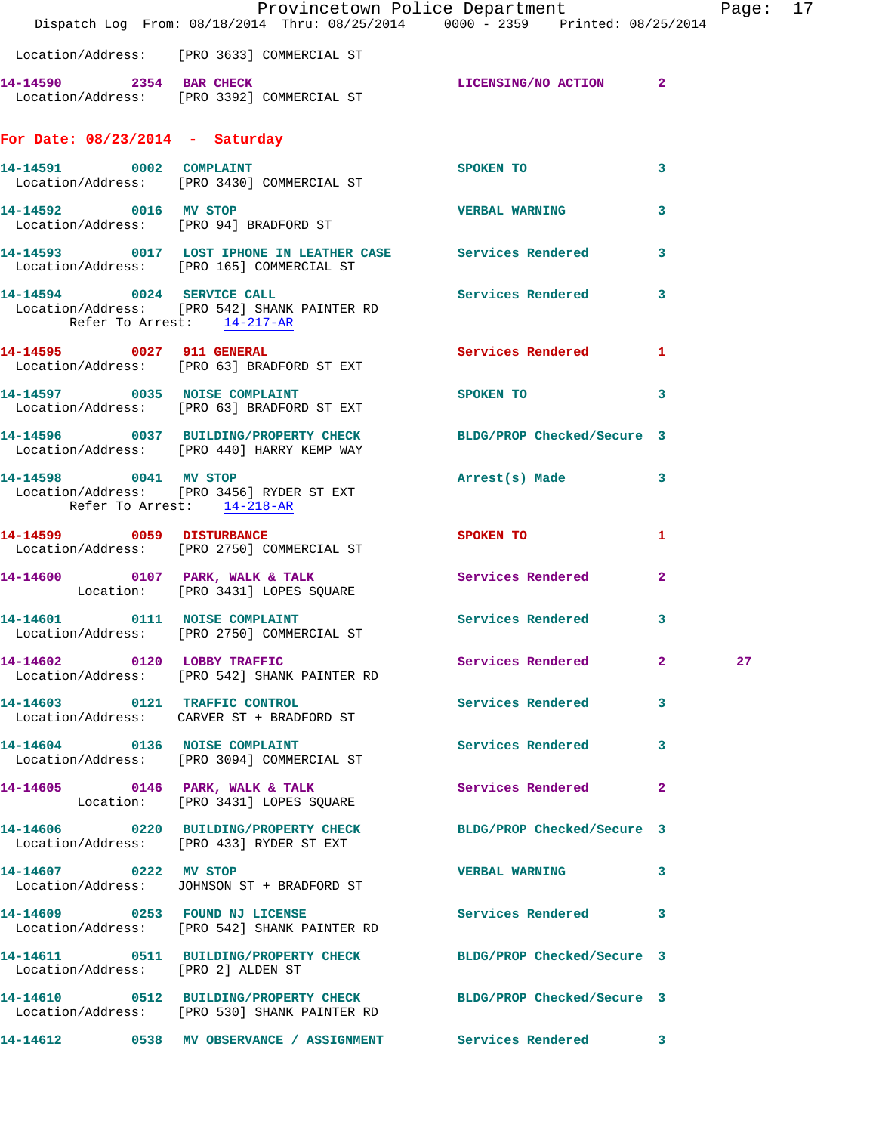|                                                     |                                                                                                                  | Provincetown Police Department                                                 | Page: 17 |
|-----------------------------------------------------|------------------------------------------------------------------------------------------------------------------|--------------------------------------------------------------------------------|----------|
|                                                     |                                                                                                                  | Dispatch Log From: 08/18/2014 Thru: 08/25/2014 0000 - 2359 Printed: 08/25/2014 |          |
|                                                     | Location/Address: [PRO 3633] COMMERCIAL ST                                                                       |                                                                                |          |
|                                                     | 14-14590 2354 BAR CHECK<br>Location/Address: [PRO 3392] COMMERCIAL ST                                            | LICENSING/NO ACTION 2                                                          |          |
| For Date: $08/23/2014$ - Saturday                   |                                                                                                                  |                                                                                |          |
| 14-14591 0002 COMPLAINT                             | Location/Address: [PRO 3430] COMMERCIAL ST                                                                       | SPOKEN TO<br>$\overline{\mathbf{3}}$                                           |          |
|                                                     | 14-14592 0016 MV STOP<br>Location/Address: [PRO 94] BRADFORD ST                                                  | <b>VERBAL WARNING 3</b>                                                        |          |
|                                                     | 14-14593 0017 LOST IPHONE IN LEATHER CASE Services Rendered 3<br>Location/Address: [PRO 165] COMMERCIAL ST       |                                                                                |          |
| Refer To Arrest: 14-217-AR                          | 14-14594 0024 SERVICE CALL<br>Location/Address: [PRO 542] SHANK PAINTER RD                                       | Services Rendered 3                                                            |          |
|                                                     | 14-14595 0027 911 GENERAL<br>Location/Address: [PRO 63] BRADFORD ST EXT                                          | Services Rendered 1                                                            |          |
|                                                     | 14-14597 0035 NOISE COMPLAINT<br>Location/Address: [PRO 63] BRADFORD ST EXT                                      | SPOKEN TO<br>$\sim$ 3                                                          |          |
|                                                     | 14-14596 0037 BUILDING/PROPERTY CHECK BLDG/PROP Checked/Secure 3<br>Location/Address: [PRO 440] HARRY KEMP WAY   |                                                                                |          |
| 14-14598 0041 MV STOP<br>Refer To Arrest: 14-218-AR | Location/Address: [PRO 3456] RYDER ST EXT                                                                        | Arrest(s) Made 3                                                               |          |
|                                                     | 14-14599 0059 DISTURBANCE<br>Location/Address: [PRO 2750] COMMERCIAL ST                                          | SPOKEN TO AND TO A SPOKEN TO<br>1                                              |          |
|                                                     | 14-14600 0107 PARK, WALK & TALK Services Rendered<br>Location: [PRO 3431] LOPES SQUARE                           | $\overline{2}$                                                                 |          |
|                                                     | 14-14601 0111 NOISE COMPLAINT<br>Location/Address: [PRO 2750] COMMERCIAL ST                                      | Services Rendered 3                                                            |          |
|                                                     | 14-14602 0120 LOBBY TRAFFIC<br>Location/Address: [PRO 542] SHANK PAINTER RD                                      | Services Rendered 2                                                            | 27       |
|                                                     | 14-14603 0121 TRAFFIC CONTROL<br>Location/Address: CARVER ST + BRADFORD ST                                       | Services Rendered 3                                                            |          |
|                                                     | 14-14604 0136 NOISE COMPLAINT<br>Location/Address: [PRO 3094] COMMERCIAL ST                                      | Services Rendered 3                                                            |          |
|                                                     | 14-14605 0146 PARK, WALK & TALK<br>Location: [PRO 3431] LOPES SQUARE                                             | Services Rendered 2                                                            |          |
|                                                     | 14-14606 0220 BUILDING/PROPERTY CHECK BLDG/PROP Checked/Secure 3<br>Location/Address: [PRO 433] RYDER ST EXT     |                                                                                |          |
| 14-14607 0222 MV STOP                               | Location/Address: JOHNSON ST + BRADFORD ST                                                                       | VERBAL WARNING 3                                                               |          |
|                                                     | 14-14609 0253 FOUND NJ LICENSE CHARGE Services Rendered 3<br>Location/Address: [PRO 542] SHANK PAINTER RD        |                                                                                |          |
| Location/Address: [PRO 2] ALDEN ST                  | 14-14611 0511 BUILDING/PROPERTY CHECK BLDG/PROP Checked/Secure 3                                                 |                                                                                |          |
|                                                     | 14-14610 0512 BUILDING/PROPERTY CHECK BLDG/PROP Checked/Secure 3<br>Location/Address: [PRO 530] SHANK PAINTER RD |                                                                                |          |
|                                                     | 14-14612 0538 MV OBSERVANCE / ASSIGNMENT Services Rendered 3                                                     |                                                                                |          |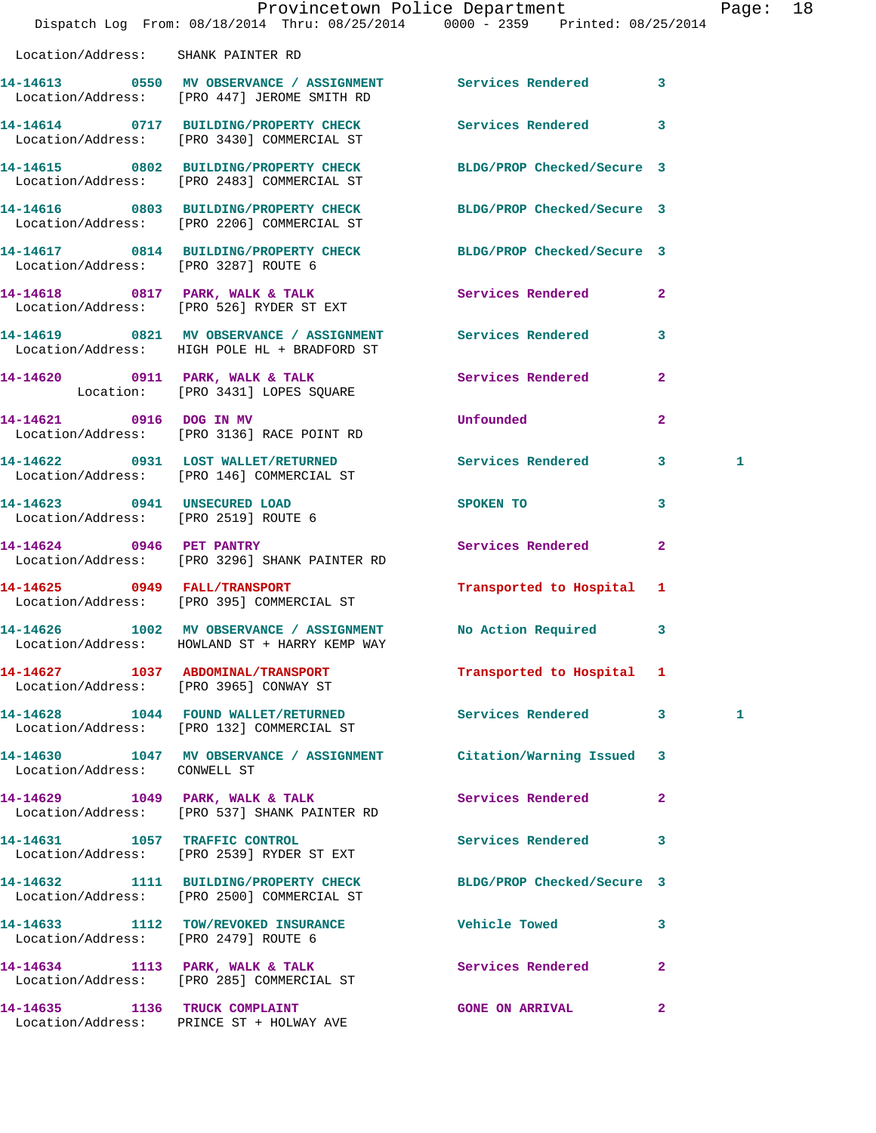|                                      | Dispatch Log From: 08/18/2014 Thru: 08/25/2014 0000 - 2359 Printed: 08/25/2014                                 | Provincetown Police Department Page: 18                                                                        |                |              |  |
|--------------------------------------|----------------------------------------------------------------------------------------------------------------|----------------------------------------------------------------------------------------------------------------|----------------|--------------|--|
| Location/Address: SHANK PAINTER RD   |                                                                                                                |                                                                                                                |                |              |  |
|                                      |                                                                                                                |                                                                                                                |                |              |  |
|                                      | 14-14614 0717 BUILDING/PROPERTY CHECK Services Rendered 3<br>Location/Address: [PRO 3430] COMMERCIAL ST        |                                                                                                                |                |              |  |
|                                      | 14-14615 0802 BUILDING/PROPERTY CHECK BLDG/PROP Checked/Secure 3<br>Location/Address: [PRO 2483] COMMERCIAL ST |                                                                                                                |                |              |  |
|                                      | 14-14616 0803 BUILDING/PROPERTY CHECK BLDG/PROP Checked/Secure 3<br>Location/Address: [PRO 2206] COMMERCIAL ST |                                                                                                                |                |              |  |
| Location/Address: [PRO 3287] ROUTE 6 | 14-14617 0814 BUILDING/PROPERTY CHECK BLDG/PROP Checked/Secure 3                                               |                                                                                                                |                |              |  |
|                                      | 14-14618 0817 PARK, WALK & TALK 3 Services Rendered 2<br>Location/Address: [PRO 526] RYDER ST EXT              |                                                                                                                |                |              |  |
|                                      | 14-14619 0821 MV OBSERVANCE / ASSIGNMENT Services Rendered<br>Location/Address: HIGH POLE HL + BRADFORD ST     |                                                                                                                | $\mathbf{3}$   |              |  |
|                                      | 14-14620    0911    PARK, WALK & TALK    Services Rendered    2<br>Location: [PRO 3431] LOPES SQUARE           |                                                                                                                |                |              |  |
|                                      | 14-14621 0916 DOG IN MV<br>Location/Address: [PRO 3136] RACE POINT RD                                          | Unfounded                                                                                                      | $\overline{2}$ |              |  |
|                                      | 14-14622 0931 LOST WALLET/RETURNED Services Rendered 3<br>Location/Address: [PRO 146] COMMERCIAL ST            |                                                                                                                |                | $\mathbf{1}$ |  |
|                                      | 14-14623 0941 UNSECURED LOAD<br>Location/Address: [PRO 2519] ROUTE 6                                           | SPOKEN TO THE STATE OF THE STATE OF THE STATE OF THE STATE OF THE STATE OF THE STATE OF THE STATE OF THE STATE | 3              |              |  |
| 14-14624 0946 PET PANTRY             | Location/Address: [PRO 3296] SHANK PAINTER RD                                                                  | <b>Services Rendered</b>                                                                                       | $\mathbf{2}$   |              |  |
|                                      | 14-14625 0949 FALL/TRANSPORT<br>Location/Address: [PRO 395] COMMERCIAL ST                                      | Transported to Hospital 1                                                                                      |                |              |  |
|                                      | 14-14626 1002 MV OBSERVANCE / ASSIGNMENT No Action Required 3<br>Location/Address: HOWLAND ST + HARRY KEMP WAY |                                                                                                                |                |              |  |
|                                      | 14-14627 1037 ABDOMINAL/TRANSPORT<br>Location/Address: [PRO 3965] CONWAY ST                                    | Transported to Hospital 1                                                                                      |                |              |  |
|                                      | 14-14628 1044 FOUND WALLET/RETURNED<br>Location/Address: [PRO 132] COMMERCIAL ST                               | Services Rendered 3                                                                                            |                | 1            |  |
| Location/Address: CONWELL ST         | 14-14630 1047 MV OBSERVANCE / ASSIGNMENT Citation/Warning Issued 3                                             |                                                                                                                |                |              |  |
|                                      | 14-14629 1049 PARK, WALK & TALK 1988 Services Rendered 2<br>Location/Address: [PRO 537] SHANK PAINTER RD       |                                                                                                                |                |              |  |
|                                      | 14-14631 1057 TRAFFIC CONTROL<br>Location/Address: [PRO 2539] RYDER ST EXT                                     | Services Rendered                                                                                              | 3              |              |  |
|                                      | 14-14632 1111 BUILDING/PROPERTY CHECK BLDG/PROP Checked/Secure 3<br>Location/Address: [PRO 2500] COMMERCIAL ST |                                                                                                                |                |              |  |
| Location/Address: [PRO 2479] ROUTE 6 | 14-14633 1112 TOW/REVOKED INSURANCE 7 Vehicle Towed                                                            |                                                                                                                | 3              |              |  |
|                                      | 14-14634 1113 PARK, WALK & TALK<br>Location/Address: [PRO 285] COMMERCIAL ST                                   | Services Rendered                                                                                              | $\mathbf{2}$   |              |  |
|                                      |                                                                                                                | GONE ON ARRIVAL 2                                                                                              |                |              |  |

Location/Address: PRINCE ST + HOLWAY AVE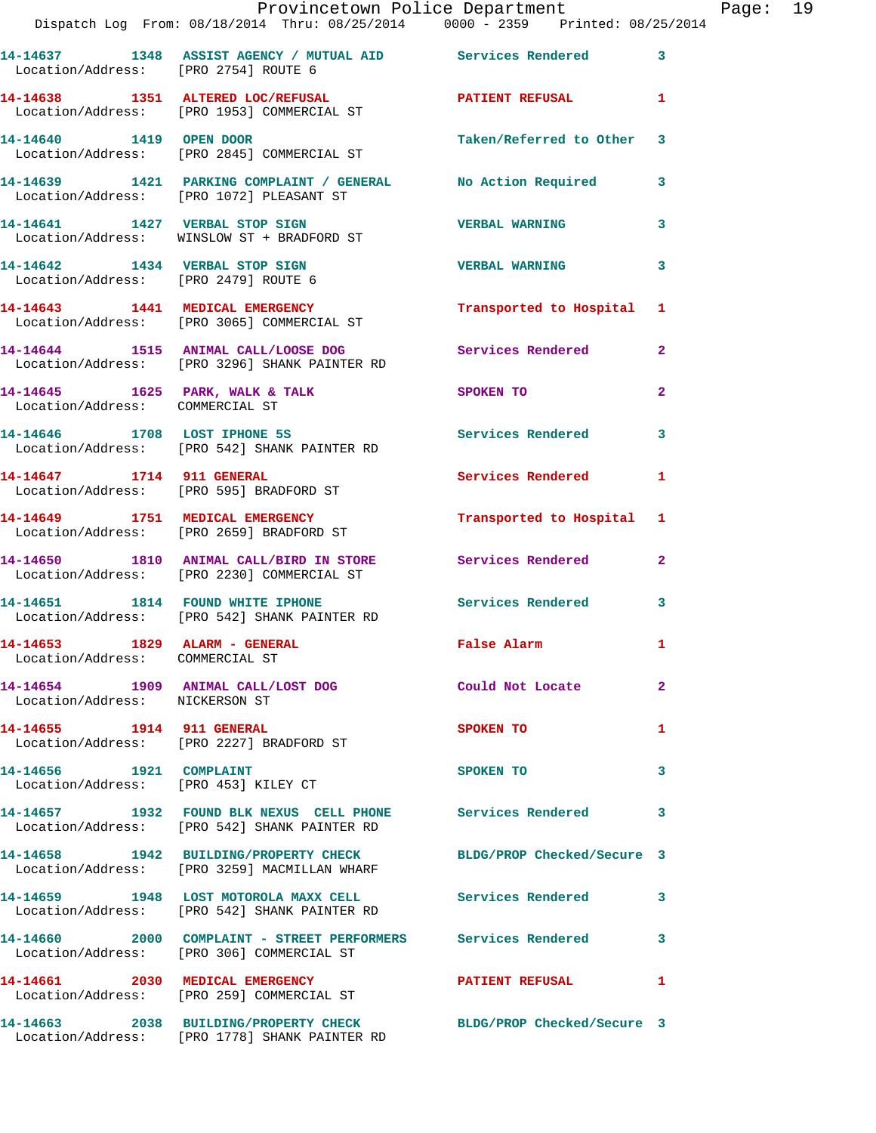|                                                                        | Provincetown Police Department<br>Dispatch Log From: 08/18/2014 Thru: 08/25/2014 0000 - 2359 Printed: 08/25/2014 |                          |                |
|------------------------------------------------------------------------|------------------------------------------------------------------------------------------------------------------|--------------------------|----------------|
| Location/Address: [PRO 2754] ROUTE 6                                   | 14-14637 1348 ASSIST AGENCY / MUTUAL AID Services Rendered                                                       |                          | 3              |
|                                                                        | 14-14638 1351 ALTERED LOC/REFUSAL PATIENT REFUSAL<br>Location/Address: [PRO 1953] COMMERCIAL ST                  |                          | 1              |
|                                                                        | 14-14640 1419 OPEN DOOR<br>Location/Address: [PRO 2845] COMMERCIAL ST                                            | Taken/Referred to Other  | 3              |
|                                                                        | 14-14639 1421 PARKING COMPLAINT / GENERAL No Action Required<br>Location/Address: [PRO 1072] PLEASANT ST         |                          | 3              |
|                                                                        | 14-14641 1427 VERBAL STOP SIGN<br>Location/Address: WINSLOW ST + BRADFORD ST                                     | <b>VERBAL WARNING</b>    | 3              |
| 14-14642 1434 VERBAL STOP SIGN<br>Location/Address: [PRO 2479] ROUTE 6 |                                                                                                                  | <b>VERBAL WARNING</b>    | 3              |
|                                                                        | 14-14643 1441 MEDICAL EMERGENCY<br>Location/Address: [PRO 3065] COMMERCIAL ST                                    | Transported to Hospital  | 1              |
|                                                                        | 14-14644 1515 ANIMAL CALL/LOOSE DOG Services Rendered<br>Location/Address: [PRO 3296] SHANK PAINTER RD           |                          | $\mathbf{2}$   |
| Location/Address: COMMERCIAL ST                                        | 14-14645 1625 PARK, WALK & TALK                                                                                  | SPOKEN TO                | $\overline{a}$ |
|                                                                        | 14-14646 1708 LOST IPHONE 5S<br>Location/Address: [PRO 542] SHANK PAINTER RD                                     | <b>Services Rendered</b> | 3              |
| 14-14647 1714 911 GENERAL                                              | Location/Address: [PRO 595] BRADFORD ST                                                                          | <b>Services Rendered</b> | 1              |
|                                                                        | 14-14649 1751 MEDICAL EMERGENCY<br>Location/Address: [PRO 2659] BRADFORD ST                                      | Transported to Hospital  | 1              |
|                                                                        | 14-14650 1810 ANIMAL CALL/BIRD IN STORE Services Rendered<br>Location/Address: [PRO 2230] COMMERCIAL ST          |                          | $\overline{2}$ |
|                                                                        | 14-14651 1814 FOUND WHITE IPHONE<br>Location/Address: [PRO 542] SHANK PAINTER RD                                 | Services Rendered        | 3              |
| 14-14653 1829 ALARM - GENERAL<br>Location/Address: COMMERCIAL ST       |                                                                                                                  | <b>False Alarm</b>       |                |
| Location/Address: NICKERSON ST                                         | 14-14654 1909 ANIMAL CALL/LOST DOG Could Not Locate                                                              |                          | $\overline{a}$ |
| 14-14655 1914 911 GENERAL                                              | Location/Address: [PRO 2227] BRADFORD ST                                                                         | <b>SPOKEN TO</b>         | 1              |
| 14-14656    1921    COMPLAINT<br>Location/Address: [PRO 453] KILEY CT  |                                                                                                                  | SPOKEN TO                | 3              |
|                                                                        | 14-14657 1932 FOUND BLK NEXUS CELL PHONE Services Rendered<br>Location/Address: [PRO 542] SHANK PAINTER RD       |                          | 3              |
|                                                                        | 14-14658 1942 BUILDING/PROPERTY CHECK BLDG/PROP Checked/Secure 3<br>Location/Address: [PRO 3259] MACMILLAN WHARF |                          |                |
|                                                                        | 14-14659 1948 LOST MOTOROLA MAXX CELL Services Rendered<br>Location/Address: [PRO 542] SHANK PAINTER RD          |                          | 3              |
|                                                                        | 14-14660 2000 COMPLAINT - STREET PERFORMERS Services Rendered<br>Location/Address: [PRO 306] COMMERCIAL ST       |                          | 3              |
|                                                                        | 14-14661 2030 MEDICAL EMERGENCY<br>Location/Address: [PRO 259] COMMERCIAL ST                                     | <b>PATIENT REFUSAL</b>   | 1              |
|                                                                        | 14-14663 2038 BUILDING/PROPERTY CHECK BLDG/PROP Checked/Secure 3                                                 |                          |                |

Location/Address: [PRO 1778] SHANK PAINTER RD

Page: 19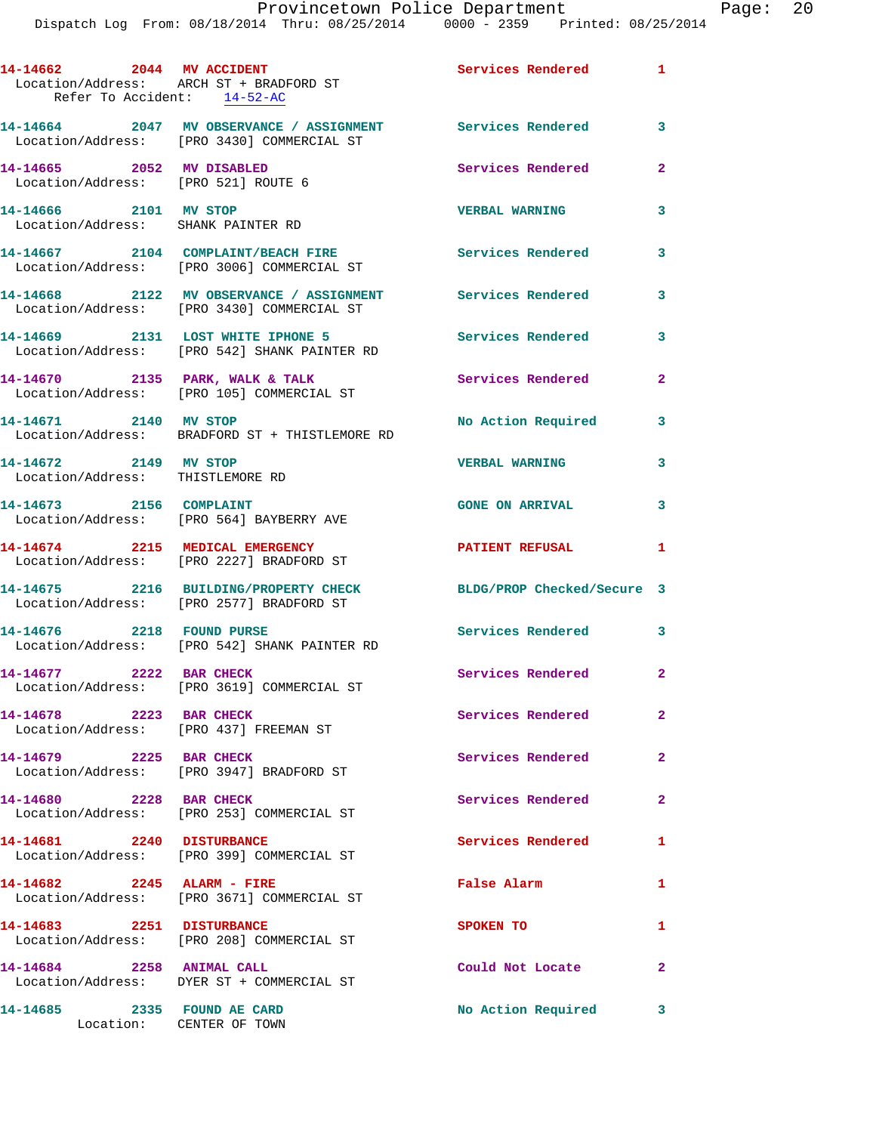| 14-14662 2044 MV ACCIDENT<br>Refer To Accident: 14-52-AC          | Location/Address: ARCH ST + BRADFORD ST                                                                  | <b>Services Rendered</b>   | $\mathbf{1}$   |
|-------------------------------------------------------------------|----------------------------------------------------------------------------------------------------------|----------------------------|----------------|
|                                                                   | 14-14664 2047 MV OBSERVANCE / ASSIGNMENT Services Rendered<br>Location/Address: [PRO 3430] COMMERCIAL ST |                            | 3              |
| 14-14665 2052 MV DISABLED<br>Location/Address: [PRO 521] ROUTE 6  |                                                                                                          | Services Rendered          | $\mathbf{2}$   |
| 14-14666 2101 MV STOP<br>Location/Address: SHANK PAINTER RD       |                                                                                                          | <b>VERBAL WARNING</b>      | 3              |
|                                                                   | 14-14667 2104 COMPLAINT/BEACH FIRE<br>Location/Address: [PRO 3006] COMMERCIAL ST                         | <b>Services Rendered</b>   | 3              |
|                                                                   | 14-14668 2122 MV OBSERVANCE / ASSIGNMENT Services Rendered<br>Location/Address: [PRO 3430] COMMERCIAL ST |                            | 3              |
|                                                                   | 14-14669 2131 LOST WHITE IPHONE 5<br>Location/Address: [PRO 542] SHANK PAINTER RD                        | <b>Services Rendered</b>   | 3              |
|                                                                   | 14-14670 2135 PARK, WALK & TALK<br>Location/Address: [PRO 105] COMMERCIAL ST                             | <b>Services Rendered</b>   | $\mathbf{2}$   |
|                                                                   | 14-14671 2140 MV STOP<br>Location/Address: BRADFORD ST + THISTLEMORE RD                                  | No Action Required         | 3              |
| 14-14672 2149 MV STOP<br>Location/Address: THISTLEMORE RD         |                                                                                                          | <b>VERBAL WARNING</b>      | 3              |
|                                                                   | 14-14673 2156 COMPLAINT<br>Location/Address: [PRO 564] BAYBERRY AVE                                      | <b>GONE ON ARRIVAL</b>     | 3              |
|                                                                   | 14-14674 2215 MEDICAL EMERGENCY<br>Location/Address: [PRO 2227] BRADFORD ST                              | <b>PATIENT REFUSAL</b>     | 1              |
|                                                                   | 14-14675 2216 BUILDING/PROPERTY CHECK<br>Location/Address: [PRO 2577] BRADFORD ST                        | BLDG/PROP Checked/Secure 3 |                |
| 14-14676 2218 FOUND PURSE                                         | Location/Address: [PRO 542] SHANK PAINTER RD                                                             | Services Rendered          | 3              |
| 14-14677 2222 BAR CHECK                                           | Location/Address: [PRO 3619] COMMERCIAL ST                                                               | Services Rendered          | $\mathbf{2}$   |
| 14-14678 2223 BAR CHECK<br>Location/Address: [PRO 437] FREEMAN ST |                                                                                                          | Services Rendered          | $\mathbf{2}$   |
| 14-14679 2225 BAR CHECK                                           | Location/Address: [PRO 3947] BRADFORD ST                                                                 | Services Rendered          | $\mathbf{2}$   |
| 14-14680 2228 BAR CHECK                                           | Location/Address: [PRO 253] COMMERCIAL ST                                                                | Services Rendered          | $\overline{2}$ |
| 14-14681 2240 DISTURBANCE                                         | Location/Address: [PRO 399] COMMERCIAL ST                                                                | Services Rendered          | 1              |
| 14-14682 2245 ALARM - FIRE                                        | Location/Address: [PRO 3671] COMMERCIAL ST                                                               | False Alarm                | 1              |
| 14-14683 2251 DISTURBANCE                                         | Location/Address: [PRO 208] COMMERCIAL ST                                                                | SPOKEN TO                  | 1              |
| 14-14684 2258 ANIMAL CALL                                         | Location/Address: DYER ST + COMMERCIAL ST                                                                | Could Not Locate           | $\mathbf{2}$   |
| 14-14685 2335 FOUND AE CARD<br>Location: CENTER OF TOWN           |                                                                                                          | No Action Required         | 3              |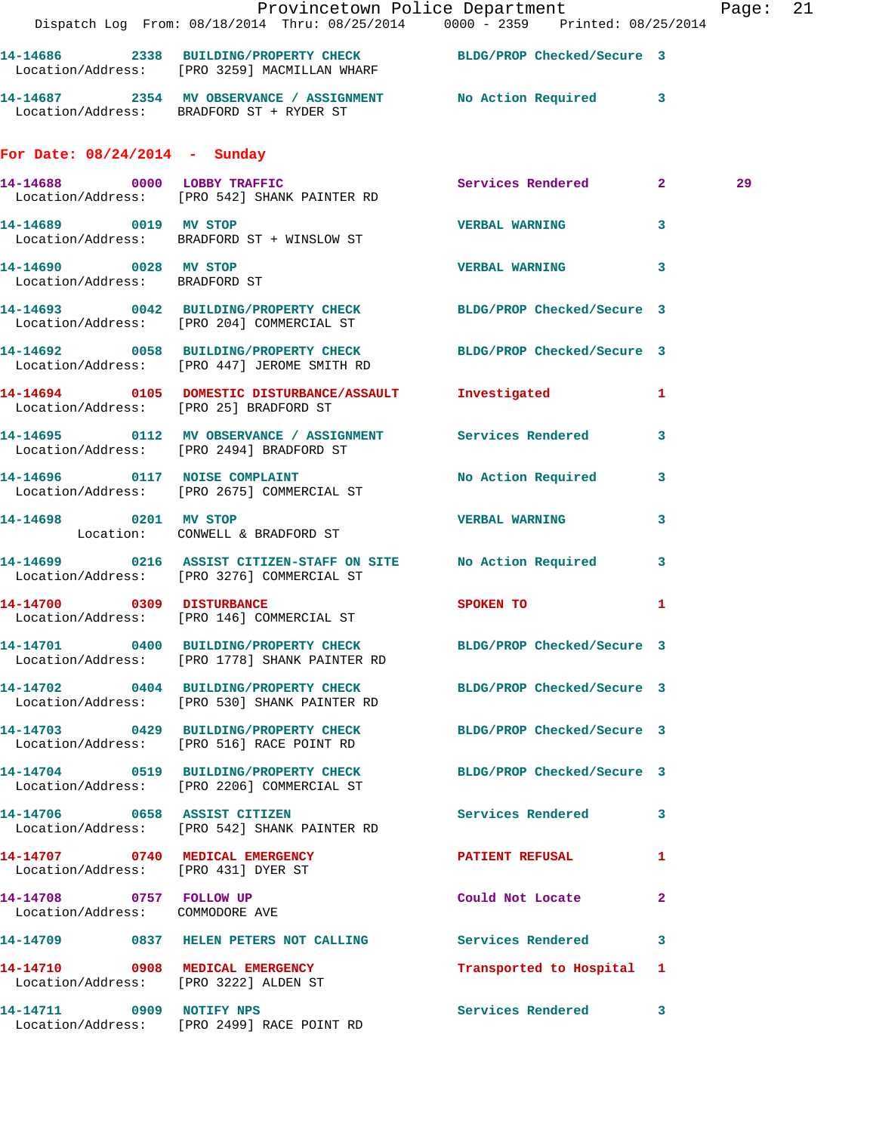|                                                            | Provincetown Police Department Page: 21<br>Dispatch Log From: 08/18/2014 Thru: 08/25/2014 0000 - 2359 Printed: 08/25/2014 |                            |              |    |  |
|------------------------------------------------------------|---------------------------------------------------------------------------------------------------------------------------|----------------------------|--------------|----|--|
|                                                            | 14-14686 2338 BUILDING/PROPERTY CHECK BLDG/PROP Checked/Secure 3<br>Location/Address: [PRO 3259] MACMILLAN WHARF          |                            |              |    |  |
|                                                            | 14-14687 2354 MV OBSERVANCE / ASSIGNMENT No Action Required 3<br>Location/Address: BRADFORD ST + RYDER ST                 |                            |              |    |  |
| For Date: $08/24/2014$ - Sunday                            |                                                                                                                           |                            |              |    |  |
|                                                            | 14-14688 0000 LOBBY TRAFFIC Services Rendered 2<br>Location/Address: [PRO 542] SHANK PAINTER RD                           |                            |              | 29 |  |
|                                                            | 14-14689 0019 MV STOP 2000 2000 2000 VERBAL WARNING<br>Location/Address: BRADFORD ST + WINSLOW ST                         |                            | $\mathbf{3}$ |    |  |
| 14-14690 0028 MV STOP<br>Location/Address: BRADFORD ST     |                                                                                                                           | <b>VERBAL WARNING</b> 3    |              |    |  |
|                                                            | 14-14693 0042 BUILDING/PROPERTY CHECK BLDG/PROP Checked/Secure 3<br>Location/Address: [PRO 204] COMMERCIAL ST             |                            |              |    |  |
|                                                            | 14-14692 0058 BUILDING/PROPERTY CHECK BLDG/PROP Checked/Secure 3<br>Location/Address: [PRO 447] JEROME SMITH RD           |                            |              |    |  |
|                                                            | 14-14694 0105 DOMESTIC DISTURBANCE/ASSAULT Investigated 1<br>Location/Address: [PRO 25] BRADFORD ST                       |                            |              |    |  |
|                                                            | 14-14695 0112 MV OBSERVANCE / ASSIGNMENT Services Rendered 3<br>Location/Address: [PRO 2494] BRADFORD ST                  |                            |              |    |  |
|                                                            | 14-14696 0117 NOISE COMPLAINT<br>Location/Address: [PRO 2675] COMMERCIAL ST                                               | No Action Required 3       |              |    |  |
|                                                            | 14-14698 0201 MV STOP<br>Location: CONWELL & BRADFORD ST                                                                  | <b>VERBAL WARNING</b>      | 3            |    |  |
|                                                            | 14-14699 0216 ASSIST CITIZEN-STAFF ON SITE No Action Required 3<br>Location/Address: [PRO 3276] COMMERCIAL ST             |                            |              |    |  |
|                                                            | 14-14700 0309 DISTURBANCE<br>Location/Address: [PRO 146] COMMERCIAL ST                                                    | SPOKEN TO                  | 1            |    |  |
|                                                            | 14-14701 0400 BUILDING/PROPERTY CHECK<br>Location/Address: [PRO 1778] SHANK PAINTER RD                                    | BLDG/PROP Checked/Secure 3 |              |    |  |
|                                                            | 14-14702 0404 BUILDING/PROPERTY CHECK BLDG/PROP Checked/Secure 3<br>Location/Address: [PRO 530] SHANK PAINTER RD          |                            |              |    |  |
|                                                            | 14-14703 0429 BUILDING/PROPERTY CHECK BLDG/PROP Checked/Secure 3<br>Location/Address: [PRO 516] RACE POINT RD             |                            |              |    |  |
|                                                            | 14-14704 0519 BUILDING/PROPERTY CHECK BLDG/PROP Checked/Secure 3<br>Location/Address: [PRO 2206] COMMERCIAL ST            |                            |              |    |  |
|                                                            | 14-14706 0658 ASSIST CITIZEN<br>Location/Address: [PRO 542] SHANK PAINTER RD                                              | Services Rendered 3        |              |    |  |
| Location/Address: [PRO 431] DYER ST                        | 14-14707 0740 MEDICAL EMERGENCY                                                                                           | <b>PATIENT REFUSAL</b>     | $\mathbf{1}$ |    |  |
| 14-14708 0757 FOLLOW UP<br>Location/Address: COMMODORE AVE |                                                                                                                           | Could Not Locate 2         |              |    |  |
|                                                            | 14-14709 0837 HELEN PETERS NOT CALLING Services Rendered 3                                                                |                            |              |    |  |
| 14-14710 0908 MEDICAL EMERGENCY                            | Location/Address: [PRO 3222] ALDEN ST                                                                                     | Transported to Hospital 1  |              |    |  |
|                                                            | 14-14711 0909 NOTIFY NPS<br>Location/Address: [PRO 2499] RACE POINT RD                                                    | Services Rendered 3        |              |    |  |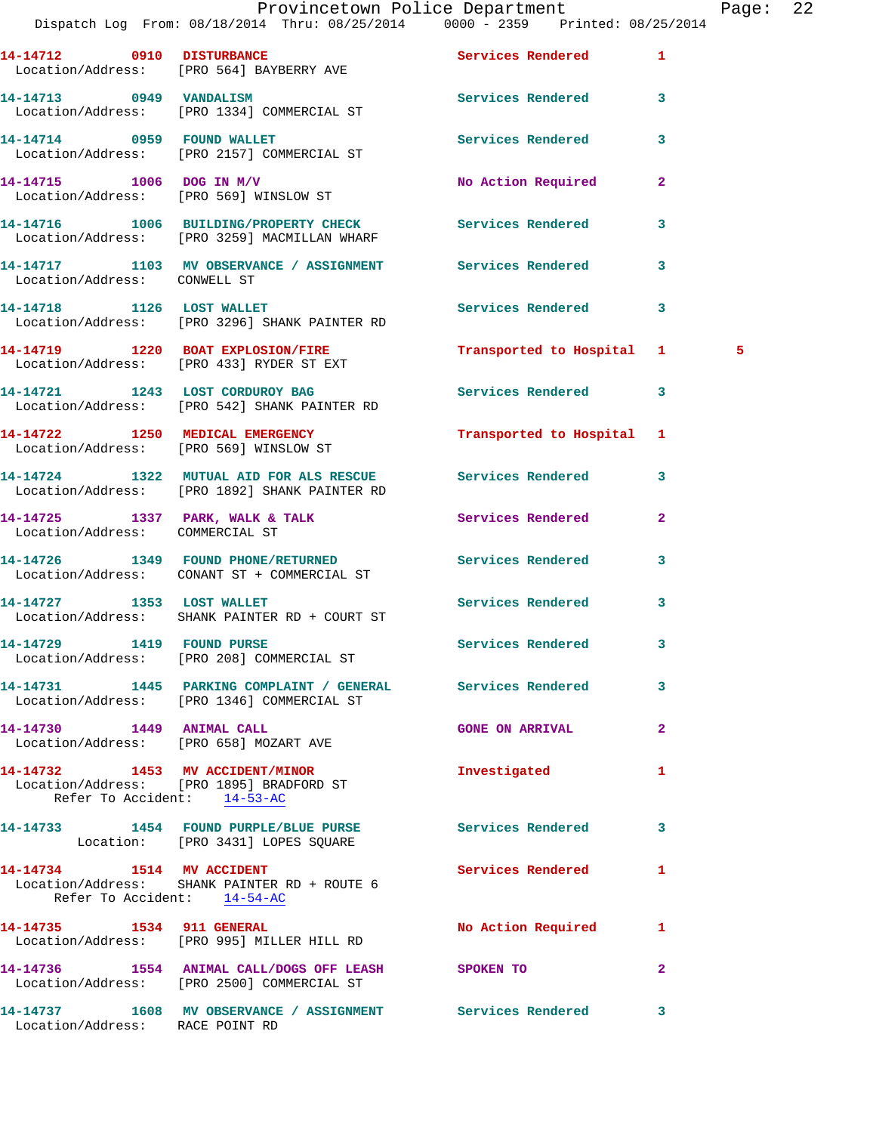|                                        | Provincetown Police Department Page: 22                                                                      |                           |                |   |  |
|----------------------------------------|--------------------------------------------------------------------------------------------------------------|---------------------------|----------------|---|--|
|                                        | Dispatch Log From: 08/18/2014 Thru: 08/25/2014                0000 - 2359   Printed: 08/25/2014              |                           |                |   |  |
|                                        | 14-14712 0910 DISTURBANCE<br>Location/Address: [PRO 564] BAYBERRY AVE                                        | Services Rendered 1       |                |   |  |
|                                        | 14-14713 0949 VANDALISM<br>Location/Address: [PRO 1334] COMMERCIAL ST                                        | Services Rendered 3       |                |   |  |
|                                        | 14-14714 0959 FOUND WALLET<br>Location/Address: [PRO 2157] COMMERCIAL ST                                     | Services Rendered         | $\mathbf{3}$   |   |  |
|                                        | $14-14715$ 1006 DOG IN M/V<br>Location/Address: [PRO 569] WINSLOW ST                                         | No Action Required 2      |                |   |  |
|                                        | 14-14716 1006 BUILDING/PROPERTY CHECK Services Rendered 3<br>Location/Address: [PRO 3259] MACMILLAN WHARF    |                           |                |   |  |
| Location/Address: CONWELL ST           | 14-14717 1103 MV OBSERVANCE / ASSIGNMENT Services Rendered                                                   |                           | 3              |   |  |
|                                        | 14-14718 1126 LOST WALLET<br>Location/Address: [PRO 3296] SHANK PAINTER RD                                   | Services Rendered 3       |                |   |  |
|                                        | 14-14719 1220 BOAT EXPLOSION/FIRE<br>Location/Address: [PRO 433] RYDER ST EXT                                | Transported to Hospital 1 |                | 5 |  |
|                                        | 14-14721 1243 LOST CORDUROY BAG<br>Location/Address: [PRO 542] SHANK PAINTER RD                              | Services Rendered 3       |                |   |  |
| Location/Address: [PRO 569] WINSLOW ST | 14-14722 1250 MEDICAL EMERGENCY                                                                              | Transported to Hospital 1 |                |   |  |
|                                        | 14-14724 1322 MUTUAL AID FOR ALS RESCUE Services Rendered 3<br>Location/Address: [PRO 1892] SHANK PAINTER RD |                           |                |   |  |
| Location/Address: COMMERCIAL ST        | 14-14725 1337 PARK, WALK & TALK                                                                              | Services Rendered         | $\mathbf{2}$   |   |  |
|                                        | 14-14726 1349 FOUND PHONE/RETURNED Services Rendered 3<br>Location/Address: CONANT ST + COMMERCIAL ST        |                           |                |   |  |
|                                        | 14-14727 1353 LOST WALLET<br>Location/Address: SHANK PAINTER RD + COURT ST                                   | Services Rendered 3       |                |   |  |
|                                        | 14-14729 1419 FOUND PURSE<br>Location/Address: [PRO 208] COMMERCIAL ST                                       | Services Rendered 3       |                |   |  |
|                                        | 14-14731 1445 PARKING COMPLAINT / GENERAL Services Rendered<br>Location/Address: [PRO 1346] COMMERCIAL ST    |                           | $\mathbf{3}$   |   |  |
|                                        | Location/Address: [PRO 658] MOZART AVE                                                                       | <b>GONE ON ARRIVAL</b>    | $\mathbf{2}$   |   |  |
| Refer To Accident: 14-53-AC            | 14-14732 1453 MV ACCIDENT/MINOR<br>Location/Address: [PRO 1895] BRADFORD ST                                  | Investigated              | 1              |   |  |
|                                        | 14-14733 1454 FOUND PURPLE/BLUE PURSE Services Rendered 3<br>Location: [PRO 3431] LOPES SQUARE               |                           |                |   |  |
| Refer To Accident: 14-54-AC            | 14-14734 1514 MV ACCIDENT<br>Location/Address: SHANK PAINTER RD + ROUTE 6                                    | Services Rendered         | 1              |   |  |
|                                        | 14-14735 1534 911 GENERAL<br>Location/Address: [PRO 995] MILLER HILL RD                                      | No Action Required 1      |                |   |  |
|                                        | 14-14736 1554 ANIMAL CALL/DOGS OFF LEASH SPOKEN TO<br>Location/Address: [PRO 2500] COMMERCIAL ST             |                           | $\overline{2}$ |   |  |

**14-14737 1608 MV OBSERVANCE / ASSIGNMENT Services Rendered 3**  Location/Address: RACE POINT RD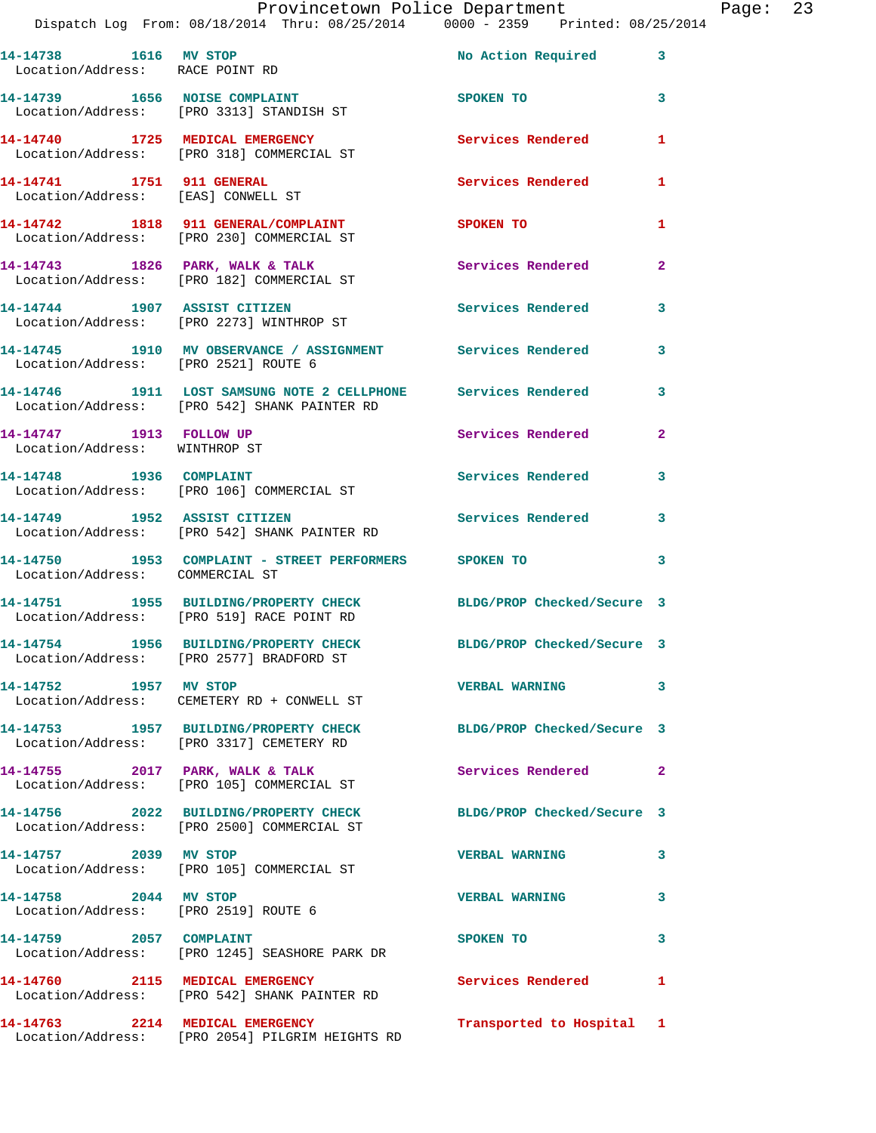|  |                                 | Provincetown Police Department  |  | Page: $23$ |  |
|--|---------------------------------|---------------------------------|--|------------|--|
|  | n: 08/18/2014  Thru: 08/25/2014 | 0000 - 2359 Printed: 08/25/2014 |  |            |  |

|                                                                 | IIOVINCCOWN IOIICC DOPUL CHICNO                                                                               |                            |                |
|-----------------------------------------------------------------|---------------------------------------------------------------------------------------------------------------|----------------------------|----------------|
| 14-14738 1616 MV STOP<br>Location/Address: RACE POINT RD        |                                                                                                               | No Action Required 3       |                |
|                                                                 | 14-14739 1656 NOISE COMPLAINT<br>Location/Address: [PRO 3313] STANDISH ST                                     | SPOKEN TO                  | 3              |
|                                                                 | 14-14740 1725 MEDICAL EMERGENCY<br>Location/Address: [PRO 318] COMMERCIAL ST                                  | <b>Services Rendered</b>   | $\mathbf{1}$   |
| 14-14741 1751 911 GENERAL<br>Location/Address: [EAS] CONWELL ST |                                                                                                               | <b>Services Rendered</b>   | $\mathbf{1}$   |
|                                                                 | 14-14742 1818 911 GENERAL/COMPLAINT<br>Location/Address: [PRO 230] COMMERCIAL ST                              | <b>SPOKEN TO</b>           | 1              |
|                                                                 | 14-14743 1826 PARK, WALK & TALK<br>Location/Address: [PRO 182] COMMERCIAL ST                                  | Services Rendered          | $\mathbf{2}$   |
|                                                                 | 14-14744 1907 ASSIST CITIZEN<br>Location/Address: [PRO 2273] WINTHROP ST                                      | Services Rendered          | 3              |
| Location/Address: [PRO 2521] ROUTE 6                            | 14-14745 1910 MV OBSERVANCE / ASSIGNMENT Services Rendered                                                    |                            | $\mathbf{3}$   |
|                                                                 | 14-14746 1911 LOST SAMSUNG NOTE 2 CELLPHONE Services Rendered<br>Location/Address: [PRO 542] SHANK PAINTER RD |                            | 3              |
| 14-14747 1913 FOLLOW UP<br>Location/Address: WINTHROP ST        |                                                                                                               | Services Rendered          | $\overline{2}$ |
|                                                                 | 14-14748 1936 COMPLAINT<br>Location/Address: [PRO 106] COMMERCIAL ST                                          | Services Rendered          | 3              |
| 14-14749 1952 ASSIST CITIZEN                                    | Location/Address: [PRO 542] SHANK PAINTER RD                                                                  | <b>Services Rendered</b>   | 3              |
| Location/Address: COMMERCIAL ST                                 | 14-14750 1953 COMPLAINT - STREET PERFORMERS SPOKEN TO                                                         |                            | 3              |
|                                                                 | 14-14751 1955 BUILDING/PROPERTY CHECK<br>Location/Address: [PRO 519] RACE POINT RD                            | BLDG/PROP Checked/Secure 3 |                |
|                                                                 | 14-14754 1956 BUILDING/PROPERTY CHECK BLDG/PROP Checked/Secure 3<br>Location/Address: [PRO 2577] BRADFORD ST  |                            |                |
| 14-14752 1957 MV STOP                                           | Location/Address: CEMETERY RD + CONWELL ST                                                                    | VERBAL WARNING 3           |                |
|                                                                 | 14-14753 1957 BUILDING/PROPERTY CHECK BLDG/PROP Checked/Secure 3<br>Location/Address: [PRO 3317] CEMETERY RD  |                            |                |
|                                                                 | 14-14755 2017 PARK, WALK & TALK<br>Location/Address: [PRO 105] COMMERCIAL ST                                  | Services Rendered 2        |                |
|                                                                 | 14-14756 2022 BUILDING/PROPERTY CHECK<br>Location/Address: [PRO 2500] COMMERCIAL ST                           | BLDG/PROP Checked/Secure 3 |                |
| 14-14757 2039 MV STOP                                           | Location/Address: [PRO 105] COMMERCIAL ST                                                                     | <b>VERBAL WARNING</b>      | 3              |
| 14-14758 2044 MV STOP<br>Location/Address: [PRO 2519] ROUTE 6   |                                                                                                               | <b>VERBAL WARNING</b>      | 3              |
| 14-14759 2057 COMPLAINT                                         | Location/Address: [PRO 1245] SEASHORE PARK DR                                                                 | SPOKEN TO                  | 3              |
|                                                                 | 14-14760 2115 MEDICAL EMERGENCY<br>Location/Address: [PRO 542] SHANK PAINTER RD                               | Services Rendered          | 1              |
|                                                                 | 14-14763 2214 MEDICAL EMERGENCY<br>Location/Address: [PRO 2054] PILGRIM HEIGHTS RD                            | Transported to Hospital 1  |                |